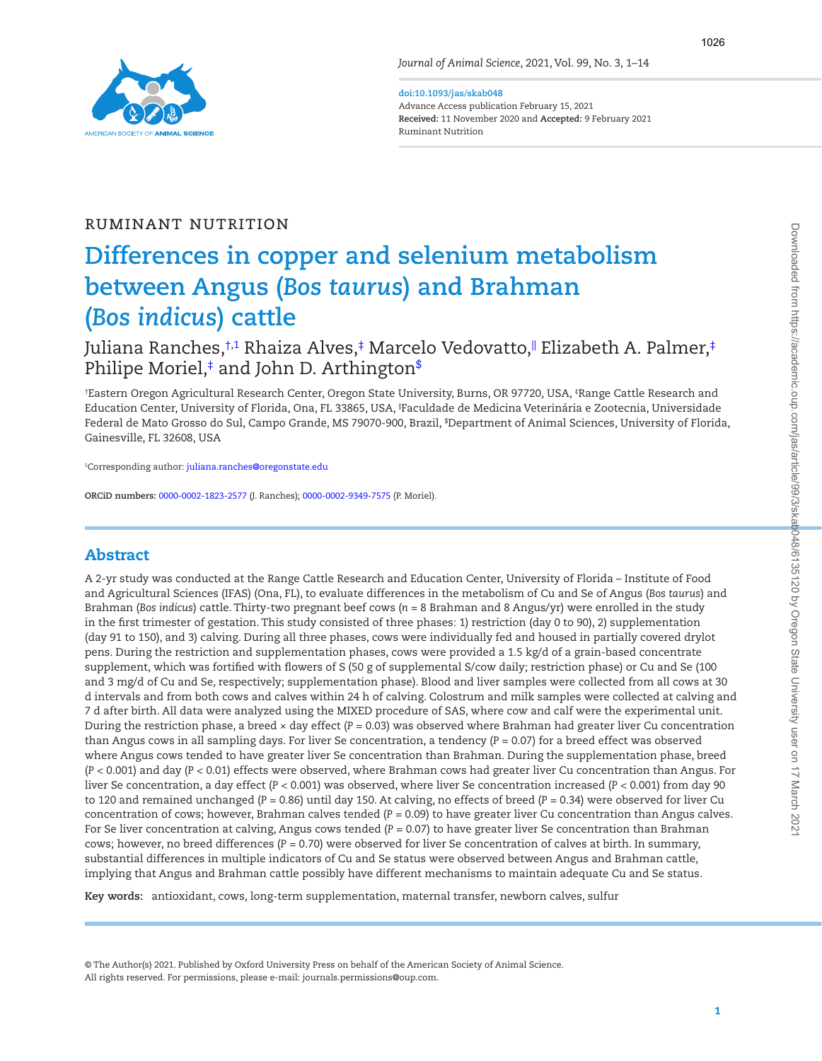

**doi:10.1093/jas/skab048**

Advance Access publication February 15, 2021 **Received:** 11 November 2020 and **Accepted:** 9 February 2021 Ruminant Nutrition

# Ruminant Nutrition

# **Differences in copper and selenium metabolism between Angus (***Bos taurus***) and Brahman (***Bos indicus***) cattle**

[Juliana Ranches](https://orcid.org/0000-0002-1823-2577),[†](#page-0-0)1 Rhaiza Alves[,‡](#page-0-2) Marcelo Vedovatto,∥ Elizabeth A. Palmer,‡ [Philipe Moriel](https://orcid.org/0000-0002-9349-7575),[‡](#page-0-2) and John D. Arthingto[n\\$](#page-0-3)

<span id="page-0-3"></span><span id="page-0-2"></span><span id="page-0-0"></span>† Eastern Oregon Agricultural Research Center, Oregon State University, Burns, OR 97720, USA, ‡ Range Cattle Research and Education Center, University of Florida, Ona, FL 33865, USA, ||Faculdade de Medicina Veterinária e Zootecnia, Universidade Federal de Mato Grosso do Sul, Campo Grande, MS 79070-900, Brazil, \$ Department of Animal Sciences, University of Florida, Gainesville, FL 32608, USA

<span id="page-0-1"></span>1 Corresponding author: [juliana.ranches@oregonstate.edu](mailto:juliana.ranches@oregonstate.edu?subject=)

**ORCiD numbers:** [0000-0002-1823-2577](https://orcid.org/0000-0002-1823-2577) (J. Ranches); [0000-0002-9349-7575](https://orcid.org/0000-0002-9349-7575) (P. Moriel).

## Abstract

A 2-yr study was conducted at the Range Cattle Research and Education Center, University of Florida – Institute of Food and Agricultural Sciences (IFAS) (Ona, FL), to evaluate differences in the metabolism of Cu and Se of Angus (*Bos taurus*) and Brahman (*Bos indicus*) cattle. Thirty-two pregnant beef cows (*n* = 8 Brahman and 8 Angus/yr) were enrolled in the study in the first trimester of gestation. This study consisted of three phases: 1) restriction (day 0 to 90), 2) supplementation (day 91 to 150), and 3) calving. During all three phases, cows were individually fed and housed in partially covered drylot pens. During the restriction and supplementation phases, cows were provided a 1.5 kg/d of a grain-based concentrate supplement, which was fortified with flowers of S (50 g of supplemental S/cow daily; restriction phase) or Cu and Se (100 and 3 mg/d of Cu and Se, respectively; supplementation phase). Blood and liver samples were collected from all cows at 30 d intervals and from both cows and calves within 24 h of calving. Colostrum and milk samples were collected at calving and 7 d after birth. All data were analyzed using the MIXED procedure of SAS, where cow and calf were the experimental unit. During the restriction phase, a breed × day effect (*P =* 0.03) was observed where Brahman had greater liver Cu concentration than Angus cows in all sampling days. For liver Se concentration, a tendency (*P =* 0.07) for a breed effect was observed where Angus cows tended to have greater liver Se concentration than Brahman. During the supplementation phase, breed (*P <* 0.001) and day (*P <* 0.01) effects were observed, where Brahman cows had greater liver Cu concentration than Angus. For liver Se concentration, a day effect (*P <* 0.001) was observed, where liver Se concentration increased (*P <* 0.001) from day 90 to 120 and remained unchanged (*P =* 0.86) until day 150. At calving, no effects of breed (*P =* 0.34) were observed for liver Cu concentration of cows; however, Brahman calves tended (*P =* 0.09) to have greater liver Cu concentration than Angus calves. For Se liver concentration at calving, Angus cows tended (*P =* 0.07) to have greater liver Se concentration than Brahman cows; however, no breed differences (*P =* 0.70) were observed for liver Se concentration of calves at birth. In summary, substantial differences in multiple indicators of Cu and Se status were observed between Angus and Brahman cattle, implying that Angus and Brahman cattle possibly have different mechanisms to maintain adequate Cu and Se status.

**Key words:** antioxidant, cows, long-term supplementation, maternal transfer, newborn calves, sulfur

© The Author(s) 2021. Published by Oxford University Press on behalf of the American Society of Animal Science. All rights reserved. For permissions, please e-mail: journals.permissions@oup.com.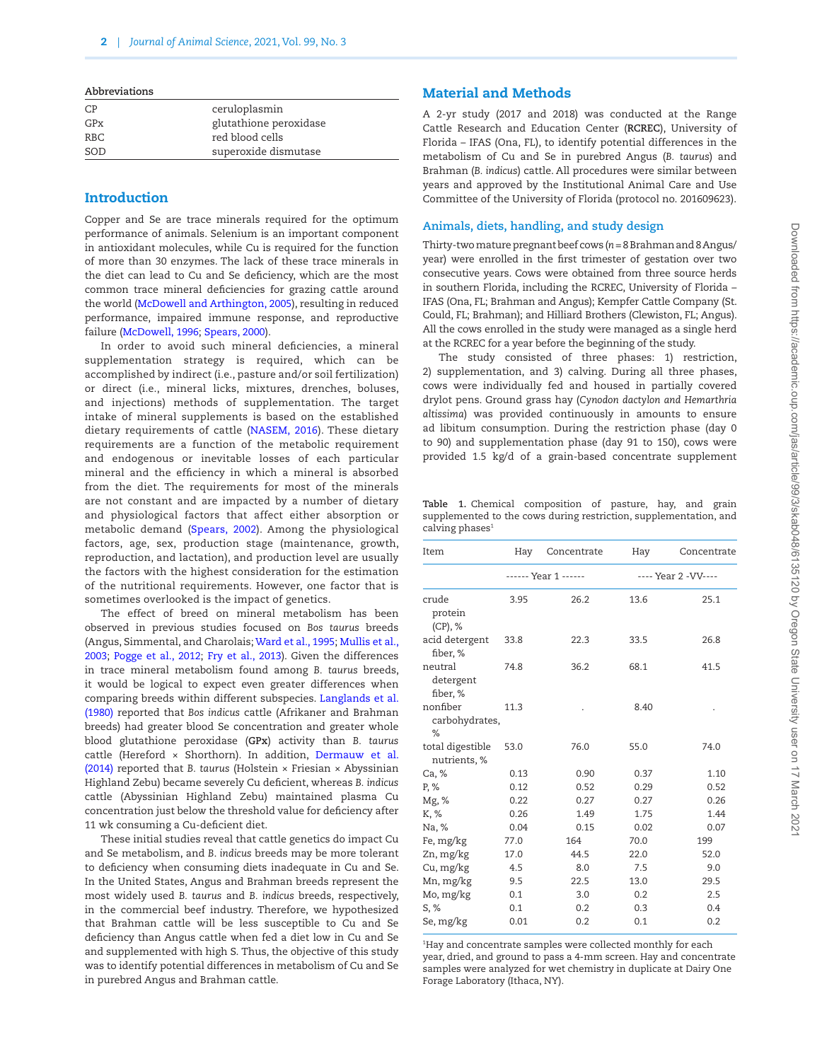|  |  |  |  |  |  | Abbreviations |  |
|--|--|--|--|--|--|---------------|--|
|  |  |  |  |  |  |               |  |
|  |  |  |  |  |  |               |  |

| CP  | ceruloplasmin          |
|-----|------------------------|
| GPx | glutathione peroxidase |
| RBC | red blood cells        |
| SOD | superoxide dismutase   |

## Introduction

Copper and Se are trace minerals required for the optimum performance of animals. Selenium is an important component in antioxidant molecules, while Cu is required for the function of more than 30 enzymes. The lack of these trace minerals in the diet can lead to Cu and Se deficiency, which are the most common trace mineral deficiencies for grazing cattle around the world ([McDowell and Arthington, 2005](#page-12-0)), resulting in reduced performance, impaired immune response, and reproductive failure ([McDowell, 1996](#page-12-1); [Spears, 2000](#page-12-2)).

In order to avoid such mineral deficiencies, a mineral supplementation strategy is required, which can be accomplished by indirect (i.e., pasture and/or soil fertilization) or direct (i.e., mineral licks, mixtures, drenches, boluses, and injections) methods of supplementation. The target intake of mineral supplements is based on the established dietary requirements of cattle ([NASEM, 2016\)](#page-12-3). These dietary requirements are a function of the metabolic requirement and endogenous or inevitable losses of each particular mineral and the efficiency in which a mineral is absorbed from the diet. The requirements for most of the minerals are not constant and are impacted by a number of dietary and physiological factors that affect either absorption or metabolic demand [\(Spears, 2002](#page-13-0)). Among the physiological factors, age, sex, production stage (maintenance, growth, reproduction, and lactation), and production level are usually the factors with the highest consideration for the estimation of the nutritional requirements. However, one factor that is sometimes overlooked is the impact of genetics.

The effect of breed on mineral metabolism has been observed in previous studies focused on *Bos taurus* breeds (Angus, Simmental, and Charolais; [Ward et al., 1995;](#page-13-1) [Mullis et al.,](#page-12-4) [2003;](#page-12-4) [Pogge et al., 2012;](#page-12-5) [Fry et al., 2013\)](#page-12-6). Given the differences in trace mineral metabolism found among *B. taurus* breeds, it would be logical to expect even greater differences when comparing breeds within different subspecies. [Langlands et al.](#page-12-7) [\(1980\)](#page-12-7) reported that *Bos indicus* cattle (Afrikaner and Brahman breeds) had greater blood Se concentration and greater whole blood glutathione peroxidase (**GPx**) activity than *B. taurus* cattle (Hereford × Shorthorn). In addition, [Dermauw et al.](#page-12-8) [\(2014\)](#page-12-8) reported that *B. taurus* (Holstein × Friesian × Abyssinian Highland Zebu) became severely Cu deficient, whereas *B. indicus* cattle (Abyssinian Highland Zebu) maintained plasma Cu concentration just below the threshold value for deficiency after 11 wk consuming a Cu-deficient diet.

These initial studies reveal that cattle genetics do impact Cu and Se metabolism, and *B*. *indicus* breeds may be more tolerant to deficiency when consuming diets inadequate in Cu and Se. In the United States, Angus and Brahman breeds represent the most widely used *B. taurus* and *B. indicus* breeds, respectively, in the commercial beef industry. Therefore, we hypothesized that Brahman cattle will be less susceptible to Cu and Se deficiency than Angus cattle when fed a diet low in Cu and Se and supplemented with high S. Thus, the objective of this study was to identify potential differences in metabolism of Cu and Se in purebred Angus and Brahman cattle.

## Material and Methods

A 2-yr study (2017 and 2018) was conducted at the Range Cattle Research and Education Center (**RCREC**), University of Florida – IFAS (Ona, FL), to identify potential differences in the metabolism of Cu and Se in purebred Angus (*B. taurus*) and Brahman (*B. indicus*) cattle. All procedures were similar between years and approved by the Institutional Animal Care and Use Committee of the University of Florida (protocol no. 201609623).

## **Animals, diets, handling, and study design**

Thirty-two mature pregnant beef cows (*n* = 8 Brahman and 8 Angus/ year) were enrolled in the first trimester of gestation over two consecutive years. Cows were obtained from three source herds in southern Florida, including the RCREC, University of Florida – IFAS (Ona, FL; Brahman and Angus); Kempfer Cattle Company (St. Could, FL; Brahman); and Hilliard Brothers (Clewiston, FL; Angus). All the cows enrolled in the study were managed as a single herd at the RCREC for a year before the beginning of the study.

The study consisted of three phases: 1) restriction, 2) supplementation, and 3) calving. During all three phases, cows were individually fed and housed in partially covered drylot pens. Ground grass hay (*Cynodon dactylon and Hemarthria altissima*) was provided continuously in amounts to ensure ad libitum consumption. During the restriction phase (day 0 to 90) and supplementation phase (day 91 to 150), cows were provided 1.5 kg/d of a grain-based concentrate supplement

<span id="page-1-0"></span>**Table 1.** Chemical composition of pasture, hay, and grain supplemented to the cows during restriction, supplementation, and calving phases<sup>1</sup>

| Item                             | Hay  | Concentrate          | Hay  | Concentrate          |
|----------------------------------|------|----------------------|------|----------------------|
|                                  |      | ------ Year 1 ------ |      | ---- Year 2 - VV---- |
| crude<br>protein<br>(CP), %      | 3.95 | 26.2                 | 13.6 | 25.1                 |
| acid detergent<br>fiber, %       | 33.8 | 22.3                 | 33.5 | 26.8                 |
| neutral<br>detergent<br>fiber, % | 74.8 | 36.2                 | 68.1 | 41.5                 |
| nonfiber<br>carbohydrates,<br>%  | 11.3 |                      | 8.40 |                      |
| total digestible<br>nutrients, % | 53.0 | 76.0                 | 55.0 | 74.0                 |
| Ca, %                            | 0.13 | 0.90                 | 0.37 | 1.10                 |
| P, %                             | 0.12 | 0.52                 | 0.29 | 0.52                 |
| Mg, %                            | 0.22 | 0.27                 | 0.27 | 0.26                 |
| K, %                             | 0.26 | 1.49                 | 1.75 | 1.44                 |
| Na, %                            | 0.04 | 0.15                 | 0.02 | 0.07                 |
| Fe, mg/kg                        | 77.0 | 164                  | 70.0 | 199                  |
| Zn, mg/kg                        | 17.0 | 44.5                 | 22.0 | 52.0                 |
| Cu, mg/kg                        | 4.5  | 8.0                  | 7.5  | 9.0                  |
| Mn, mg/kg                        | 9.5  | 22.5                 | 13.0 | 29.5                 |
| Mo, mg/kg                        | 0.1  | 3.0                  | 0.2  | 2.5                  |
| S, %                             | 0.1  | 0.2                  | 0.3  | 0.4                  |
| Se, mg/kg                        | 0.01 | 0.2                  | 0.1  | 0.2                  |

1 Hay and concentrate samples were collected monthly for each year, dried, and ground to pass a 4-mm screen. Hay and concentrate samples were analyzed for wet chemistry in duplicate at Dairy One Forage Laboratory (Ithaca, NY).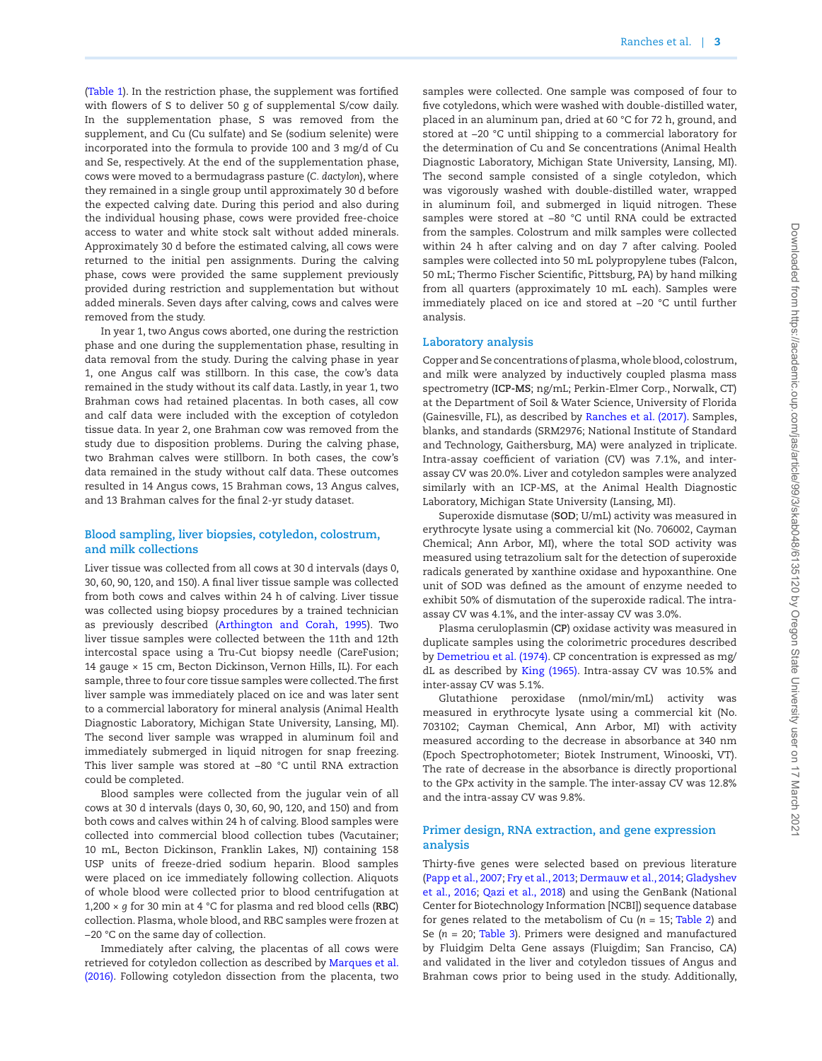[\(Table 1\)](#page-1-0). In the restriction phase, the supplement was fortified with flowers of S to deliver 50 g of supplemental S/cow daily. In the supplementation phase, S was removed from the supplement, and Cu (Cu sulfate) and Se (sodium selenite) were incorporated into the formula to provide 100 and 3 mg/d of Cu and Se, respectively. At the end of the supplementation phase, cows were moved to a bermudagrass pasture (*C. dactylon*), where they remained in a single group until approximately 30 d before the expected calving date. During this period and also during the individual housing phase, cows were provided free-choice access to water and white stock salt without added minerals. Approximately 30 d before the estimated calving, all cows were returned to the initial pen assignments. During the calving phase, cows were provided the same supplement previously provided during restriction and supplementation but without added minerals. Seven days after calving, cows and calves were removed from the study.

In year 1, two Angus cows aborted, one during the restriction phase and one during the supplementation phase, resulting in data removal from the study. During the calving phase in year 1, one Angus calf was stillborn. In this case, the cow's data remained in the study without its calf data. Lastly, in year 1, two Brahman cows had retained placentas. In both cases, all cow and calf data were included with the exception of cotyledon tissue data. In year 2, one Brahman cow was removed from the study due to disposition problems. During the calving phase, two Brahman calves were stillborn. In both cases, the cow's data remained in the study without calf data. These outcomes resulted in 14 Angus cows, 15 Brahman cows, 13 Angus calves, and 13 Brahman calves for the final 2-yr study dataset.

## **Blood sampling, liver biopsies, cotyledon, colostrum, and milk collections**

Liver tissue was collected from all cows at 30 d intervals (days 0, 30, 60, 90, 120, and 150). A final liver tissue sample was collected from both cows and calves within 24 h of calving. Liver tissue was collected using biopsy procedures by a trained technician as previously described ([Arthington and Corah, 1995\)](#page-11-0). Two liver tissue samples were collected between the 11th and 12th intercostal space using a Tru-Cut biopsy needle (CareFusion; 14 gauge × 15 cm, Becton Dickinson, Vernon Hills, IL). For each sample, three to four core tissue samples were collected. The first liver sample was immediately placed on ice and was later sent to a commercial laboratory for mineral analysis (Animal Health Diagnostic Laboratory, Michigan State University, Lansing, MI). The second liver sample was wrapped in aluminum foil and immediately submerged in liquid nitrogen for snap freezing. This liver sample was stored at −80 °C until RNA extraction could be completed.

Blood samples were collected from the jugular vein of all cows at 30 d intervals (days 0, 30, 60, 90, 120, and 150) and from both cows and calves within 24 h of calving. Blood samples were collected into commercial blood collection tubes (Vacutainer; 10 mL, Becton Dickinson, Franklin Lakes, NJ) containing 158 USP units of freeze-dried sodium heparin. Blood samples were placed on ice immediately following collection. Aliquots of whole blood were collected prior to blood centrifugation at 1,200 × *g* for 30 min at 4 °C for plasma and red blood cells (**RBC**) collection. Plasma, whole blood, and RBC samples were frozen at −20 °C on the same day of collection.

Immediately after calving, the placentas of all cows were retrieved for cotyledon collection as described by [Marques et al.](#page-12-9) [\(2016\).](#page-12-9) Following cotyledon dissection from the placenta, two samples were collected. One sample was composed of four to five cotyledons, which were washed with double-distilled water, placed in an aluminum pan, dried at 60 °C for 72 h, ground, and stored at −20 °C until shipping to a commercial laboratory for the determination of Cu and Se concentrations (Animal Health Diagnostic Laboratory, Michigan State University, Lansing, MI). The second sample consisted of a single cotyledon, which was vigorously washed with double-distilled water, wrapped in aluminum foil, and submerged in liquid nitrogen. These samples were stored at −80 °C until RNA could be extracted from the samples. Colostrum and milk samples were collected within 24 h after calving and on day 7 after calving. Pooled samples were collected into 50 mL polypropylene tubes (Falcon, 50 mL; Thermo Fischer Scientific, Pittsburg, PA) by hand milking from all quarters (approximately 10 mL each). Samples were immediately placed on ice and stored at −20 °C until further analysis.

#### **Laboratory analysis**

Copper and Se concentrations of plasma, whole blood, colostrum, and milk were analyzed by inductively coupled plasma mass spectrometry (**ICP-MS**; ng/mL; Perkin-Elmer Corp., Norwalk, CT) at the Department of Soil & Water Science, University of Florida (Gainesville, FL), as described by [Ranches et al. \(2017\).](#page-12-10) Samples, blanks, and standards (SRM2976; National Institute of Standard and Technology, Gaithersburg, MA) were analyzed in triplicate. Intra-assay coefficient of variation (CV) was 7.1%, and interassay CV was 20.0%. Liver and cotyledon samples were analyzed similarly with an ICP-MS, at the Animal Health Diagnostic Laboratory, Michigan State University (Lansing, MI).

Superoxide dismutase (**SOD**; U/mL) activity was measured in erythrocyte lysate using a commercial kit (No. 706002, Cayman Chemical; Ann Arbor, MI), where the total SOD activity was measured using tetrazolium salt for the detection of superoxide radicals generated by xanthine oxidase and hypoxanthine. One unit of SOD was defined as the amount of enzyme needed to exhibit 50% of dismutation of the superoxide radical. The intraassay CV was 4.1%, and the inter-assay CV was 3.0%.

Plasma ceruloplasmin (**CP**) oxidase activity was measured in duplicate samples using the colorimetric procedures described by [Demetriou et al. \(1974\)](#page-12-11). CP concentration is expressed as mg/ dL as described by [King \(1965\)](#page-12-12). Intra-assay CV was 10.5% and inter-assay CV was 5.1%.

Glutathione peroxidase (nmol/min/mL) activity was measured in erythrocyte lysate using a commercial kit (No. 703102; Cayman Chemical, Ann Arbor, MI) with activity measured according to the decrease in absorbance at 340 nm (Epoch Spectrophotometer; Biotek Instrument, Winooski, VT). The rate of decrease in the absorbance is directly proportional to the GPx activity in the sample. The inter-assay CV was 12.8% and the intra-assay CV was 9.8%.

## **Primer design, RNA extraction, and gene expression analysis**

Thirty-five genes were selected based on previous literature [\(Papp et al., 2007](#page-12-13); [Fry et al., 2013;](#page-12-6) [Dermauw et al., 2014;](#page-12-8) [Gladyshev](#page-12-14) [et al., 2016](#page-12-14); [Qazi et al., 2018](#page-12-15)) and using the GenBank (National Center for Biotechnology Information [NCBI]) sequence database for genes related to the metabolism of Cu  $(n = 15;$  [Table 2](#page-3-0)) and Se (*n* = 20; [Table 3\)](#page-3-1). Primers were designed and manufactured by Fluidgim Delta Gene assays (Fluigdim; San Franciso, CA) and validated in the liver and cotyledon tissues of Angus and Brahman cows prior to being used in the study. Additionally,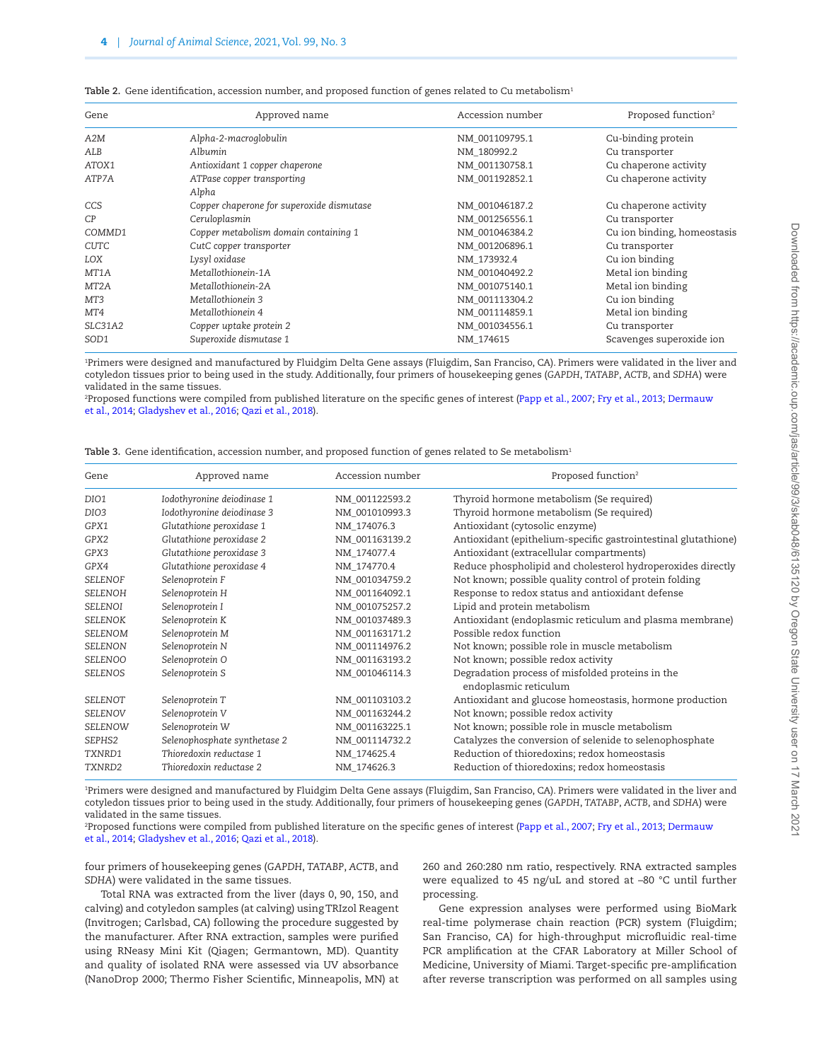| Gene              | Approved name                             | Accession number | Proposed function <sup>2</sup> |
|-------------------|-------------------------------------------|------------------|--------------------------------|
| A2M               | Alpha-2-macroglobulin                     | NM 001109795.1   | Cu-binding protein             |
| ALB               | Albumin                                   | NM_180992.2      | Cu transporter                 |
| ATOX1             | Antioxidant 1 copper chaperone            | NM 001130758.1   | Cu chaperone activity          |
| ATP7A             | ATPase copper transporting                | NM 001192852.1   | Cu chaperone activity          |
|                   | Alpha                                     |                  |                                |
| CCS               | Copper chaperone for superoxide dismutase | NM 001046187.2   | Cu chaperone activity          |
| C <sub>P</sub>    | Ceruloplasmin                             | NM 001256556.1   | Cu transporter                 |
| COMMD1            | Copper metabolism domain containing 1     | NM 001046384.2   | Cu ion binding, homeostasis    |
| CUTC              | CutC copper transporter                   | NM 001206896.1   | Cu transporter                 |
| LOX               | Lysyl oxidase                             | NM 173932.4      | Cu ion binding                 |
| MT1A              | Metallothionein-1A                        | NM 001040492.2   | Metal ion binding              |
| MT <sub>2</sub> A | Metallothionein-2A                        | NM 001075140.1   | Metal ion binding              |
| MT3               | Metallothionein 3                         | NM 001113304.2   | Cu ion binding                 |
| MT4               | Metallothionein 4                         | NM 001114859.1   | Metal ion binding              |
| SLC31A2           | Copper uptake protein 2                   | NM 001034556.1   | Cu transporter                 |
| SOD1              | Superoxide dismutase 1                    | NM 174615        | Scavenges superoxide ion       |

<span id="page-3-0"></span>Table 2. Gene identification, accession number, and proposed function of genes related to Cu metabolism<sup>1</sup>

1 Primers were designed and manufactured by Fluidgim Delta Gene assays (Fluigdim, San Franciso, CA). Primers were validated in the liver and cotyledon tissues prior to being used in the study. Additionally, four primers of housekeeping genes (*GAPDH*, *TATABP*, *ACTB*, and *SDHA*) were validated in the same tissues.

2 Proposed functions were compiled from published literature on the specific genes of interest ([Papp et al., 2007;](#page-12-13) [Fry et al., 2013;](#page-12-6) [Dermauw](#page-12-8)  [et al., 2014](#page-12-8); [Gladyshev et al., 2016](#page-12-14); [Qazi et al., 2018](#page-12-15)).

<span id="page-3-1"></span>

| <b>Table 3.</b> Gene identification, accession number, and proposed function of genes related to Se metabolism <sup>1</sup> |  |  |  |
|-----------------------------------------------------------------------------------------------------------------------------|--|--|--|
|                                                                                                                             |  |  |  |

| Gene             | Approved name                | Accession number | Proposed function <sup>2</sup>                                            |
|------------------|------------------------------|------------------|---------------------------------------------------------------------------|
| DIO1             | Iodothyronine deiodinase 1   | NM 001122593.2   | Thyroid hormone metabolism (Se required)                                  |
| DIO <sub>3</sub> | Iodothyronine deiodinase 3   | NM_001010993.3   | Thyroid hormone metabolism (Se required)                                  |
| GPX1             | Glutathione peroxidase 1     | NM 174076.3      | Antioxidant (cytosolic enzyme)                                            |
| GPX2             | Glutathione peroxidase 2     | NM 001163139.2   | Antioxidant (epithelium-specific gastrointestinal glutathione)            |
| GPX3             | Glutathione peroxidase 3     | NM_174077.4      | Antioxidant (extracellular compartments)                                  |
| GPX4             | Glutathione peroxidase 4     | NM 174770.4      | Reduce phospholipid and cholesterol hydroperoxides directly               |
| <b>SELENOF</b>   | Selenoprotein F              | NM 001034759.2   | Not known; possible quality control of protein folding                    |
| <b>SELENOH</b>   | Selenoprotein H              | NM 001164092.1   | Response to redox status and antioxidant defense                          |
| <b>SELENOI</b>   | Selenoprotein I              | NM 001075257.2   | Lipid and protein metabolism                                              |
| <b>SELENOK</b>   | Selenoprotein K              | NM_001037489.3   | Antioxidant (endoplasmic reticulum and plasma membrane)                   |
| SELENOM          | Selenoprotein M              | NM_001163171.2   | Possible redox function                                                   |
| <b>SELENON</b>   | Selenoprotein N              | NM 001114976.2   | Not known; possible role in muscle metabolism                             |
| <b>SELENOO</b>   | Selenoprotein O              | NM 001163193.2   | Not known; possible redox activity                                        |
| <b>SELENOS</b>   | Selenoprotein S              | NM 001046114.3   | Degradation process of misfolded proteins in the<br>endoplasmic reticulum |
| SELENOT          | Selenoprotein T              | NM 001103103.2   | Antioxidant and glucose homeostasis, hormone production                   |
| <b>SELENOV</b>   | Selenoprotein V              | NM_001163244.2   | Not known; possible redox activity                                        |
| SELENOW          | Selenoprotein W              | NM 001163225.1   | Not known; possible role in muscle metabolism                             |
| SEPHS2           | Selenophosphate synthetase 2 | NM 001114732.2   | Catalyzes the conversion of selenide to selenophosphate                   |
| TXNRD1           | Thioredoxin reductase 1      | NM_174625.4      | Reduction of thioredoxins; redox homeostasis                              |
| TXNRD2           | Thioredoxin reductase 2      | NM 174626.3      | Reduction of thioredoxins; redox homeostasis                              |

1 Primers were designed and manufactured by Fluidgim Delta Gene assays (Fluigdim, San Franciso, CA). Primers were validated in the liver and cotyledon tissues prior to being used in the study. Additionally, four primers of housekeeping genes (*GAPDH*, *TATABP*, *ACTB*, and *SDHA*) were validated in the same tissues.

2 Proposed functions were compiled from published literature on the specific genes of interest ([Papp et al., 2007;](#page-12-13) [Fry et al., 2013;](#page-12-6) [Dermauw](#page-12-8)  [et al., 2014](#page-12-8); [Gladyshev et al., 2016](#page-12-14); [Qazi et al., 2018](#page-12-15)).

four primers of housekeeping genes (*GAPDH*, *TATABP*, *ACTB*, and *SDHA*) were validated in the same tissues.

Total RNA was extracted from the liver (days 0, 90, 150, and calving) and cotyledon samples (at calving) using TRIzol Reagent (Invitrogen; Carlsbad, CA) following the procedure suggested by the manufacturer. After RNA extraction, samples were purified using RNeasy Mini Kit (Qiagen; Germantown, MD). Quantity and quality of isolated RNA were assessed via UV absorbance (NanoDrop 2000; Thermo Fisher Scientific, Minneapolis, MN) at 260 and 260:280 nm ratio, respectively. RNA extracted samples were equalized to 45 ng/uL and stored at –80 °C until further processing.

Gene expression analyses were performed using BioMark real-time polymerase chain reaction (PCR) system (Fluigdim; San Franciso, CA) for high-throughput microfluidic real-time PCR amplification at the CFAR Laboratory at Miller School of Medicine, University of Miami. Target-specific pre-amplification after reverse transcription was performed on all samples using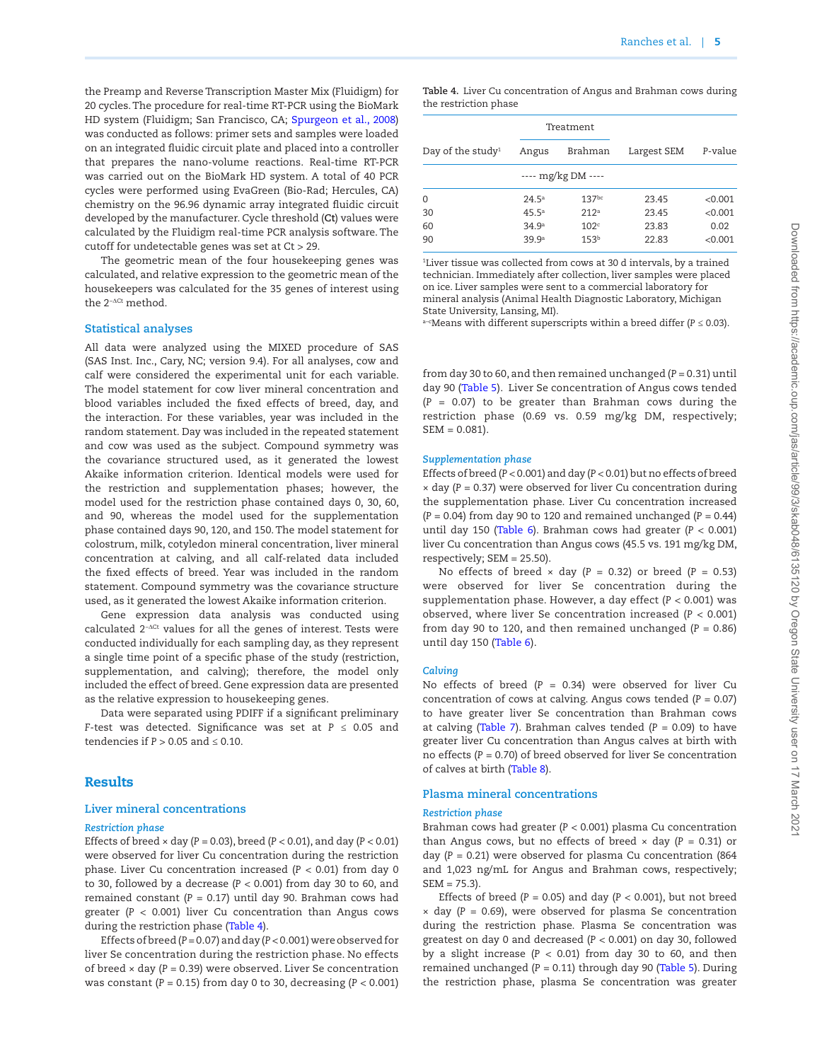the Preamp and Reverse Transcription Master Mix (Fluidigm) for 20 cycles. The procedure for real-time RT-PCR using the BioMark HD system (Fluidigm; San Francisco, CA; [Spurgeon et al., 2008\)](#page-13-2) was conducted as follows: primer sets and samples were loaded on an integrated fluidic circuit plate and placed into a controller that prepares the nano-volume reactions. Real-time RT-PCR was carried out on the BioMark HD system. A total of 40 PCR cycles were performed using EvaGreen (Bio-Rad; Hercules, CA) chemistry on the 96.96 dynamic array integrated fluidic circuit developed by the manufacturer. Cycle threshold (**Ct**) values were calculated by the Fluidigm real-time PCR analysis software. The cutoff for undetectable genes was set at Ct > 29.

The geometric mean of the four housekeeping genes was calculated, and relative expression to the geometric mean of the housekeepers was calculated for the 35 genes of interest using the 2<sup>−∆Ct</sup> method.

## **Statistical analyses**

All data were analyzed using the MIXED procedure of SAS (SAS Inst. Inc., Cary, NC; version 9.4). For all analyses, cow and calf were considered the experimental unit for each variable. The model statement for cow liver mineral concentration and blood variables included the fixed effects of breed, day, and the interaction. For these variables, year was included in the random statement. Day was included in the repeated statement and cow was used as the subject. Compound symmetry was the covariance structured used, as it generated the lowest Akaike information criterion. Identical models were used for the restriction and supplementation phases; however, the model used for the restriction phase contained days 0, 30, 60, and 90, whereas the model used for the supplementation phase contained days 90, 120, and 150. The model statement for colostrum, milk, cotyledon mineral concentration, liver mineral concentration at calving, and all calf-related data included the fixed effects of breed. Year was included in the random statement. Compound symmetry was the covariance structure used, as it generated the lowest Akaike information criterion.

Gene expression data analysis was conducted using calculated 2<sup>−∆Ct</sup> values for all the genes of interest. Tests were conducted individually for each sampling day, as they represent a single time point of a specific phase of the study (restriction, supplementation, and calving); therefore, the model only included the effect of breed. Gene expression data are presented as the relative expression to housekeeping genes.

Data were separated using PDIFF if a significant preliminary *F*-test was detected. Significance was set at *P* ≤ 0.05 and tendencies if  $P > 0.05$  and  $\leq 0.10$ .

## Results

#### **Liver mineral concentrations**

#### *Restriction phase*

Effects of breed × day (*P =* 0.03), breed (*P <* 0.01), and day (*P* < 0.01) were observed for liver Cu concentration during the restriction phase. Liver Cu concentration increased (*P <* 0.01) from day 0 to 30, followed by a decrease (*P <* 0.001) from day 30 to 60, and remained constant (*P =* 0.17) until day 90. Brahman cows had greater (*P <* 0.001) liver Cu concentration than Angus cows during the restriction phase [\(Table 4\)](#page-4-0).

Effects of breed (*P =* 0.07) and day (*P <* 0.001) were observed for liver Se concentration during the restriction phase. No effects of breed × day (*P =* 0.39) were observed. Liver Se concentration was constant (*P =* 0.15) from day 0 to 30, decreasing (*P <* 0.001) <span id="page-4-0"></span>**Table 4.** Liver Cu concentration of Angus and Brahman cows during the restriction phase

| Angus             | Brahman           | Largest SEM                       | P-value |
|-------------------|-------------------|-----------------------------------|---------|
|                   |                   |                                   |         |
| 24.5 <sup>a</sup> | 137 <sup>bc</sup> | 23.45                             | < 0.001 |
| 45.5 <sup>a</sup> | 212 <sup>a</sup>  | 23.45                             | < 0.001 |
| 34.9 <sup>a</sup> | 102 <sup>c</sup>  | 23.83                             | 0.02    |
| 39.9ª             | 153 <sup>b</sup>  | 22.83                             | < 0.001 |
|                   |                   | Treatment<br>---- $mg/kg DM$ ---- |         |

1 Liver tissue was collected from cows at 30 d intervals, by a trained technician. Immediately after collection, liver samples were placed on ice. Liver samples were sent to a commercial laboratory for mineral analysis (Animal Health Diagnostic Laboratory, Michigan State University, Lansing, MI).

a–cMeans with different superscripts within a breed differ (*P ≤* 0.03).

from day 30 to 60, and then remained unchanged (*P =* 0.31) until day 90 ([Table 5](#page-5-0)). Liver Se concentration of Angus cows tended (*P =* 0.07) to be greater than Brahman cows during the restriction phase (0.69 vs. 0.59 mg/kg DM, respectively; SEM = 0.081).

#### *Supplementation phase*

Effects of breed (*P <* 0.001) and day (*P <* 0.01) but no effects of breed × day (*P =* 0.37) were observed for liver Cu concentration during the supplementation phase. Liver Cu concentration increased (*P =* 0.04) from day 90 to 120 and remained unchanged (*P =* 0.44) until day 150 [\(Table 6](#page-5-1)). Brahman cows had greater (*P <* 0.001) liver Cu concentration than Angus cows (45.5 vs. 191 mg/kg DM, respectively; SEM = 25.50).

No effects of breed × day (*P =* 0.32) or breed (*P =* 0.53) were observed for liver Se concentration during the supplementation phase. However, a day effect (*P <* 0.001) was observed, where liver Se concentration increased (*P <* 0.001) from day 90 to 120, and then remained unchanged (*P =* 0.86) until day 150 ([Table 6\)](#page-5-1).

#### *Calving*

No effects of breed (*P =* 0.34) were observed for liver Cu concentration of cows at calving. Angus cows tended (*P =* 0.07) to have greater liver Se concentration than Brahman cows at calving ([Table 7](#page-6-0)). Brahman calves tended (*P =* 0.09) to have greater liver Cu concentration than Angus calves at birth with no effects (*P =* 0.70) of breed observed for liver Se concentration of calves at birth ([Table 8\)](#page-7-0).

## **Plasma mineral concentrations**

#### *Restriction phase*

Brahman cows had greater (*P <* 0.001) plasma Cu concentration than Angus cows, but no effects of breed × day (*P =* 0.31) or day (*P =* 0.21) were observed for plasma Cu concentration (864 and 1,023 ng/mL for Angus and Brahman cows, respectively;  $SEM = 75.3$ ).

Effects of breed (*P =* 0.05) and day (*P <* 0.001), but not breed  $\times$  day ( $P = 0.69$ ), were observed for plasma Se concentration during the restriction phase. Plasma Se concentration was greatest on day 0 and decreased (*P <* 0.001) on day 30, followed by a slight increase (*P <* 0.01) from day 30 to 60, and then remained unchanged (*P =* 0.11) through day 90 [\(Table 5](#page-5-0)). During the restriction phase, plasma Se concentration was greater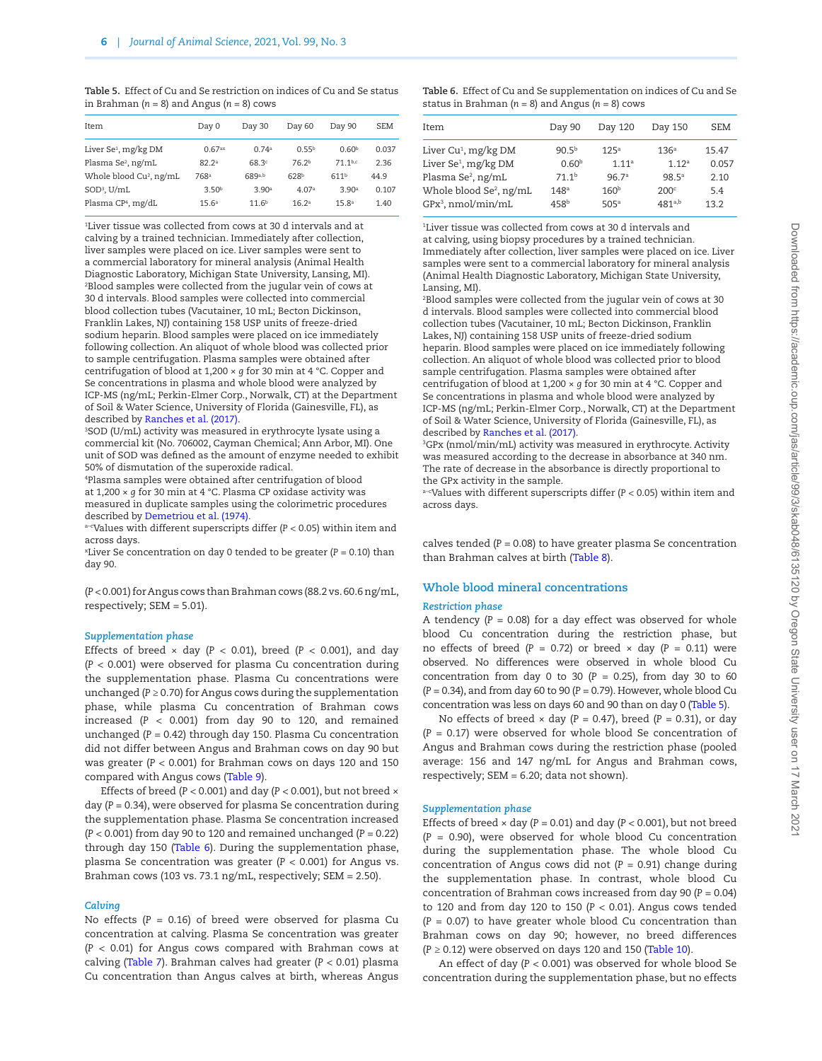<span id="page-5-0"></span>**Table 5.** Effect of Cu and Se restriction on indices of Cu and Se status in Brahman ( $n = 8$ ) and Angus ( $n = 8$ ) cows

| Item                                | Day 0              | Day 30            | Day 60            | Day 90            | <b>SEM</b> |
|-------------------------------------|--------------------|-------------------|-------------------|-------------------|------------|
| Liver Se <sup>1</sup> , mg/kg DM    | 0.67 <sup>ax</sup> | 0.74a             | $0.55^{b}$        | 0.60 <sup>b</sup> | 0.037      |
| Plasma Se <sup>2</sup> , ng/mL      | 82.2 <sup>a</sup>  | 68.3 <sup>c</sup> | 76.2 <sup>b</sup> | 71 1b,c           | 2.36       |
| Whole blood Cu <sup>2</sup> , ng/mL | 768ª               | 689a,b            | 628 <sup>b</sup>  | 611 <sup>b</sup>  | 44.9       |
| $SOD3$ , U/mL                       | 3.50 <sup>b</sup>  | 3.90 <sup>a</sup> | 4.07 <sup>a</sup> | 3.90 <sup>a</sup> | 0.107      |
| Plasma CP <sup>4</sup> , mg/dL      | 15.6 <sup>a</sup>  | 11.6 <sup>b</sup> | 16.2 <sup>a</sup> | 15.8 <sup>a</sup> | 1.40       |
|                                     |                    |                   |                   |                   |            |

1 Liver tissue was collected from cows at 30 d intervals and at calving by a trained technician. Immediately after collection, liver samples were placed on ice. Liver samples were sent to a commercial laboratory for mineral analysis (Animal Health Diagnostic Laboratory, Michigan State University, Lansing, MI). 2 Blood samples were collected from the jugular vein of cows at 30 d intervals. Blood samples were collected into commercial blood collection tubes (Vacutainer, 10 mL; Becton Dickinson, Franklin Lakes, NJ) containing 158 USP units of freeze-dried sodium heparin. Blood samples were placed on ice immediately following collection. An aliquot of whole blood was collected prior to sample centrifugation. Plasma samples were obtained after centrifugation of blood at 1,200 × *g* for 30 min at 4 °C. Copper and Se concentrations in plasma and whole blood were analyzed by ICP-MS (ng/mL; Perkin-Elmer Corp., Norwalk, CT) at the Department of Soil & Water Science, University of Florida (Gainesville, FL), as described by [Ranches et al. \(2017\)](#page-12-10).

3 SOD (U/mL) activity was measured in erythrocyte lysate using a commercial kit (No. 706002, Cayman Chemical; Ann Arbor, MI). One unit of SOD was defined as the amount of enzyme needed to exhibit 50% of dismutation of the superoxide radical.

4 Plasma samples were obtained after centrifugation of blood at 1,200 × *g* for 30 min at 4 °C. Plasma CP oxidase activity was measured in duplicate samples using the colorimetric procedures described by [Demetriou et al. \(1974\)](#page-12-11).

a–cValues with different superscripts differ (*P <* 0.05) within item and across days.

xLiver Se concentration on day 0 tended to be greater (*P =* 0.10) than day 90.

(*P <* 0.001) for Angus cows than Brahman cows (88.2 vs. 60.6 ng/mL, respectively; SEM = 5.01).

#### *Supplementation phase*

Effects of breed  $\times$  day ( $P < 0.01$ ), breed ( $P < 0.001$ ), and day (*P <* 0.001) were observed for plasma Cu concentration during the supplementation phase. Plasma Cu concentrations were unchanged (*P ≥* 0.70) for Angus cows during the supplementation phase, while plasma Cu concentration of Brahman cows increased (*P <* 0.001) from day 90 to 120, and remained unchanged (*P =* 0.42) through day 150. Plasma Cu concentration did not differ between Angus and Brahman cows on day 90 but was greater (*P <* 0.001) for Brahman cows on days 120 and 150 compared with Angus cows [\(Table 9\)](#page-7-1).

Effects of breed (*P <* 0.001) and day (*P* < 0.001), but not breed × day (*P =* 0.34), were observed for plasma Se concentration during the supplementation phase. Plasma Se concentration increased (*P <* 0.001) from day 90 to 120 and remained unchanged (*P =* 0.22) through day 150 ([Table 6](#page-5-1)). During the supplementation phase, plasma Se concentration was greater (*P <* 0.001) for Angus vs. Brahman cows (103 vs. 73.1 ng/mL, respectively; SEM = 2.50).

#### *Calving*

No effects (*P =* 0.16) of breed were observed for plasma Cu concentration at calving. Plasma Se concentration was greater (*P <* 0.01) for Angus cows compared with Brahman cows at calving [\(Table 7\)](#page-6-0). Brahman calves had greater (*P <* 0.01) plasma Cu concentration than Angus calves at birth, whereas Angus

<span id="page-5-1"></span>**Table 6.** Effect of Cu and Se supplementation on indices of Cu and Se status in Brahman (*n* = 8) and Angus (*n* = 8) cows

| Item                                | Day 90            | Day 120           | Day 150           | <b>SEM</b> |
|-------------------------------------|-------------------|-------------------|-------------------|------------|
| Liver Cu <sup>1</sup> , mg/kg DM    | $90.5^{b}$        | 125 <sup>a</sup>  | 136 <sup>a</sup>  | 15.47      |
| Liver Se <sup>1</sup> , mg/kg DM    | 0.60 <sup>b</sup> | 1.11 <sup>a</sup> | 1.12 <sup>a</sup> | 0.057      |
| Plasma Se <sup>2</sup> , ng/mL      | 71.1 <sup>b</sup> | 96.7a             | 98.5 <sup>a</sup> | 2.10       |
| Whole blood Se <sup>2</sup> , ng/mL | 148 <sup>a</sup>  | 160 <sup>b</sup>  | 200 <sup>c</sup>  | 5.4        |
| GPx <sup>3</sup> , nmol/min/mL      | 458 <sup>b</sup>  | 505a              | $481^{a,b}$       | 13.2       |
|                                     |                   |                   |                   |            |

1 Liver tissue was collected from cows at 30 d intervals and at calving, using biopsy procedures by a trained technician. Immediately after collection, liver samples were placed on ice. Liver samples were sent to a commercial laboratory for mineral analysis (Animal Health Diagnostic Laboratory, Michigan State University, Lansing, MI).

2 Blood samples were collected from the jugular vein of cows at 30 d intervals. Blood samples were collected into commercial blood collection tubes (Vacutainer, 10 mL; Becton Dickinson, Franklin Lakes, NJ) containing 158 USP units of freeze-dried sodium heparin. Blood samples were placed on ice immediately following collection. An aliquot of whole blood was collected prior to blood sample centrifugation. Plasma samples were obtained after centrifugation of blood at 1,200 × *g* for 30 min at 4 °C. Copper and Se concentrations in plasma and whole blood were analyzed by ICP-MS (ng/mL; Perkin-Elmer Corp., Norwalk, CT) at the Department of Soil & Water Science, University of Florida (Gainesville, FL), as described by [Ranches et al. \(2017\)](#page-12-10).

3 GPx (nmol/min/mL) activity was measured in erythrocyte. Activity was measured according to the decrease in absorbance at 340 nm. The rate of decrease in the absorbance is directly proportional to the GPx activity in the sample.

a–cValues with different superscripts differ (*P <* 0.05) within item and across days.

calves tended (*P =* 0.08) to have greater plasma Se concentration than Brahman calves at birth ([Table 8\)](#page-7-0).

#### **Whole blood mineral concentrations**

#### *Restriction phase*

A tendency (*P =* 0.08) for a day effect was observed for whole blood Cu concentration during the restriction phase, but no effects of breed (*P =* 0.72) or breed × day (*P =* 0.11) were observed. No differences were observed in whole blood Cu concentration from day 0 to 30 (*P =* 0.25), from day 30 to 60 (*P =* 0.34), and from day 60 to 90 (*P =* 0.79). However, whole blood Cu concentration was less on days 60 and 90 than on day 0 [\(Table 5\)](#page-5-0).

No effects of breed × day (*P =* 0.47), breed (*P =* 0.31), or day (*P =* 0.17) were observed for whole blood Se concentration of Angus and Brahman cows during the restriction phase (pooled average: 156 and 147 ng/mL for Angus and Brahman cows, respectively; SEM = 6.20; data not shown).

#### *Supplementation phase*

Effects of breed × day (*P =* 0.01) and day (*P <* 0.001), but not breed (*P =* 0.90), were observed for whole blood Cu concentration during the supplementation phase. The whole blood Cu concentration of Angus cows did not (*P =* 0.91) change during the supplementation phase. In contrast, whole blood Cu concentration of Brahman cows increased from day 90 (*P =* 0.04) to 120 and from day 120 to 150 (*P <* 0.01). Angus cows tended (*P =* 0.07) to have greater whole blood Cu concentration than Brahman cows on day 90; however, no breed differences (*P ≥* 0.12) were observed on days 120 and 150 ([Table 10](#page-7-2)).

An effect of day (*P <* 0.001) was observed for whole blood Se concentration during the supplementation phase, but no effects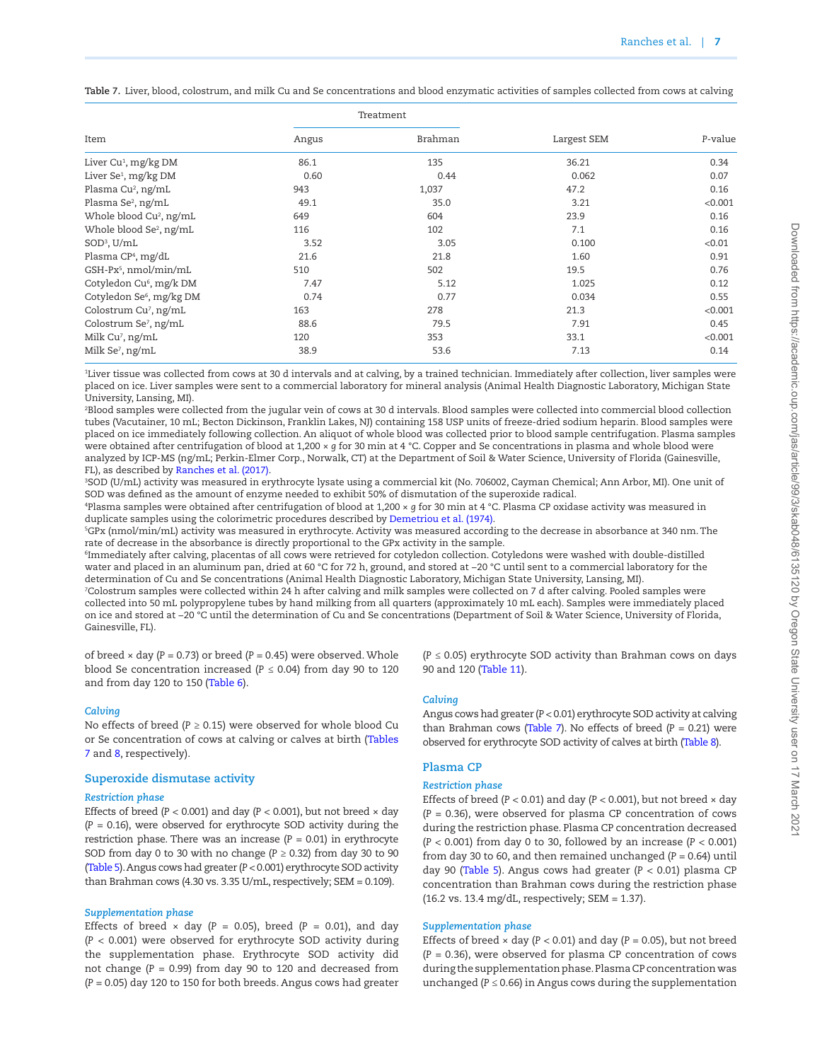<span id="page-6-0"></span>**Table 7.** Liver, blood, colostrum, and milk Cu and Se concentrations and blood enzymatic activities of samples collected from cows at calving

|                                      |       | Treatment |             |         |
|--------------------------------------|-------|-----------|-------------|---------|
| Item                                 | Angus | Brahman   | Largest SEM | P-value |
| Liver Cu <sup>1</sup> , mg/kg DM     | 86.1  | 135       | 36.21       | 0.34    |
| Liver Se <sup>1</sup> , mg/kg DM     | 0.60  | 0.44      | 0.062       | 0.07    |
| Plasma Cu <sup>2</sup> , ng/mL       | 943   | 1,037     | 47.2        | 0.16    |
| Plasma Se <sup>2</sup> , ng/mL       | 49.1  | 35.0      | 3.21        | < 0.001 |
| Whole blood Cu <sup>2</sup> , ng/mL  | 649   | 604       | 23.9        | 0.16    |
| Whole blood Se <sup>2</sup> , ng/mL  | 116   | 102       | 7.1         | 0.16    |
| SOD <sup>3</sup> , U/mL              | 3.52  | 3.05      | 0.100       | < 0.01  |
| Plasma CP <sup>4</sup> , mg/dL       | 21.6  | 21.8      | 1.60        | 0.91    |
| GSH-Px <sup>5</sup> , nmol/min/mL    | 510   | 502       | 19.5        | 0.76    |
| Cotyledon Cu <sup>6</sup> , mg/k DM  | 7.47  | 5.12      | 1.025       | 0.12    |
| Cotyledon Se <sup>6</sup> , mg/kg DM | 0.74  | 0.77      | 0.034       | 0.55    |
| Colostrum Cu <sup>7</sup> , ng/mL    | 163   | 278       | 21.3        | < 0.001 |
| Colostrum Se <sup>7</sup> , ng/mL    | 88.6  | 79.5      | 7.91        | 0.45    |
| Milk Cu <sup>7</sup> , ng/mL         | 120   | 353       | 33.1        | < 0.001 |
| Milk Se <sup>7</sup> , ng/mL         | 38.9  | 53.6      | 7.13        | 0.14    |

1 Liver tissue was collected from cows at 30 d intervals and at calving, by a trained technician. Immediately after collection, liver samples were placed on ice. Liver samples were sent to a commercial laboratory for mineral analysis (Animal Health Diagnostic Laboratory, Michigan State University, Lansing, MI).

2 Blood samples were collected from the jugular vein of cows at 30 d intervals. Blood samples were collected into commercial blood collection tubes (Vacutainer, 10 mL; Becton Dickinson, Franklin Lakes, NJ) containing 158 USP units of freeze-dried sodium heparin. Blood samples were placed on ice immediately following collection. An aliquot of whole blood was collected prior to blood sample centrifugation. Plasma samples were obtained after centrifugation of blood at 1,200 × *g* for 30 min at 4 °C. Copper and Se concentrations in plasma and whole blood were analyzed by ICP-MS (ng/mL; Perkin-Elmer Corp., Norwalk, CT) at the Department of Soil & Water Science, University of Florida (Gainesville, FL), as described by [Ranches et al. \(2017\)](#page-12-10).

3 SOD (U/mL) activity was measured in erythrocyte lysate using a commercial kit (No. 706002, Cayman Chemical; Ann Arbor, MI). One unit of SOD was defined as the amount of enzyme needed to exhibit 50% of dismutation of the superoxide radical.

4 Plasma samples were obtained after centrifugation of blood at 1,200 × *g* for 30 min at 4 °C. Plasma CP oxidase activity was measured in duplicate samples using the colorimetric procedures described by [Demetriou et al. \(1974\)](#page-12-11).

5 GPx (nmol/min/mL) activity was measured in erythrocyte. Activity was measured according to the decrease in absorbance at 340 nm. The rate of decrease in the absorbance is directly proportional to the GPx activity in the sample.

6 Immediately after calving, placentas of all cows were retrieved for cotyledon collection. Cotyledons were washed with double-distilled water and placed in an aluminum pan, dried at 60 °C for 72 h, ground, and stored at −20 °C until sent to a commercial laboratory for the determination of Cu and Se concentrations (Animal Health Diagnostic Laboratory, Michigan State University, Lansing, MI). 7 Colostrum samples were collected within 24 h after calving and milk samples were collected on 7 d after calving. Pooled samples were collected into 50 mL polypropylene tubes by hand milking from all quarters (approximately 10 mL each). Samples were immediately placed

on ice and stored at −20 °C until the determination of Cu and Se concentrations (Department of Soil & Water Science, University of Florida, Gainesville, FL).

of breed × day (*P =* 0.73) or breed (*P =* 0.45) were observed. Whole blood Se concentration increased (*P ≤* 0.04) from day 90 to 120 and from day 120 to 150 [\(Table 6](#page-5-1)).

## *Calving*

No effects of breed (*P ≥* 0.15) were observed for whole blood Cu or Se concentration of cows at calving or calves at birth ([Tables](#page-6-0) [7](#page-6-0) and [8,](#page-7-0) respectively).

#### **Superoxide dismutase activity**

#### *Restriction phase*

Effects of breed  $(P < 0.001)$  and day  $(P < 0.001)$ , but not breed  $\times$  day (*P =* 0.16), were observed for erythrocyte SOD activity during the restriction phase. There was an increase (*P =* 0.01) in erythrocyte SOD from day 0 to 30 with no change (*P ≥* 0.32) from day 30 to 90 [\(Table 5](#page-5-0)). Angus cows had greater (*P <* 0.001) erythrocyte SOD activity than Brahman cows (4.30 vs. 3.35 U/mL, respectively; SEM = 0.109).

#### *Supplementation phase*

Effects of breed  $\times$  day ( $P = 0.05$ ), breed ( $P = 0.01$ ), and day (*P <* 0.001) were observed for erythrocyte SOD activity during the supplementation phase. Erythrocyte SOD activity did not change (*P =* 0.99) from day 90 to 120 and decreased from (*P =* 0.05) day 120 to 150 for both breeds. Angus cows had greater

(*P ≤* 0.05) erythrocyte SOD activity than Brahman cows on days 90 and 120 ([Table 11](#page-8-0)).

#### *Calving*

Angus cows had greater (*P <* 0.01) erythrocyte SOD activity at calving than Brahman cows [\(Table 7](#page-6-0)). No effects of breed (*P =* 0.21) were observed for erythrocyte SOD activity of calves at birth [\(Table 8\)](#page-7-0).

## **Plasma CP**

## *Restriction phase*

Effects of breed ( $P < 0.01$ ) and day ( $P < 0.001$ ), but not breed  $\times$  day (*P =* 0.36), were observed for plasma CP concentration of cows during the restriction phase. Plasma CP concentration decreased (*P <* 0.001) from day 0 to 30, followed by an increase (*P <* 0.001) from day 30 to 60, and then remained unchanged (*P =* 0.64) until day 90 [\(Table 5\)](#page-5-0). Angus cows had greater (*P <* 0.01) plasma CP concentration than Brahman cows during the restriction phase (16.2 vs. 13.4 mg/dL, respectively; SEM = 1.37).

### *Supplementation phase*

Effects of breed × day (*P <* 0.01) and day (*P =* 0.05), but not breed (*P =* 0.36), were observed for plasma CP concentration of cows during the supplementation phase. Plasma CP concentration was unchanged (*P ≤* 0.66) in Angus cows during the supplementation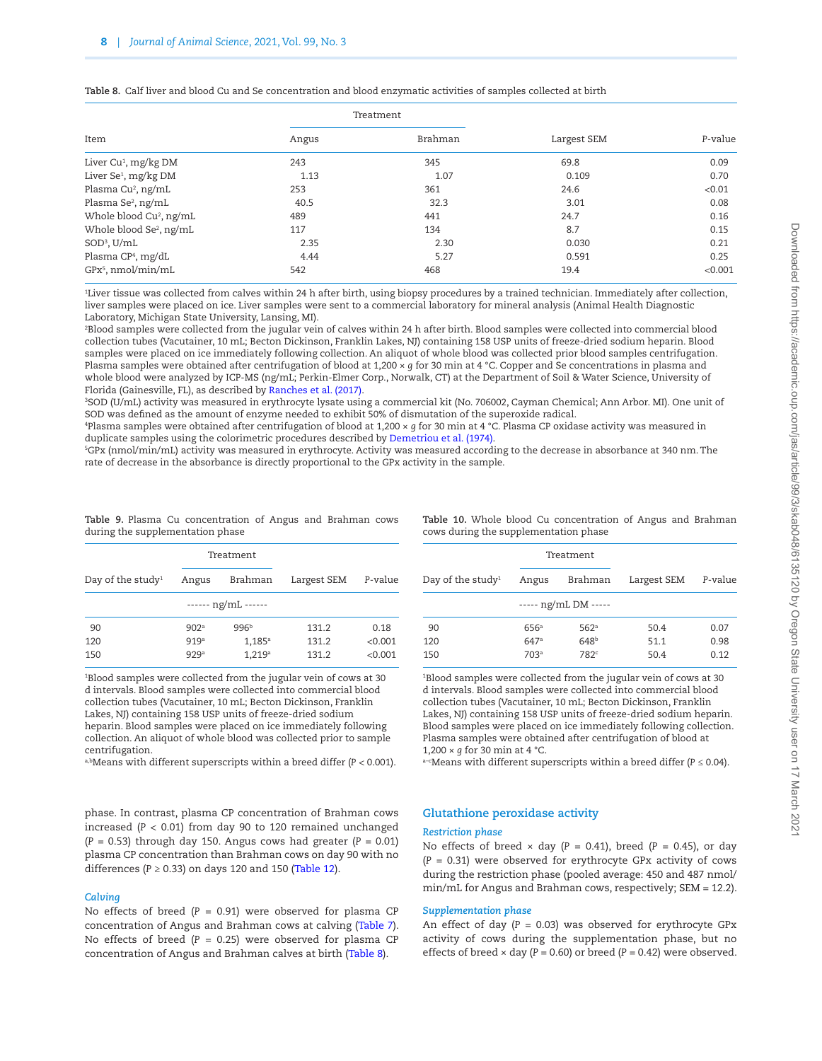|                                     |       | Treatment |             | P-value |
|-------------------------------------|-------|-----------|-------------|---------|
| Item                                | Angus | Brahman   | Largest SEM |         |
| Liver Cu <sup>1</sup> , mg/kg DM    | 243   | 345       | 69.8        | 0.09    |
| Liver Se <sup>1</sup> , mg/kg DM    | 1.13  | 1.07      | 0.109       | 0.70    |
| Plasma Cu <sup>2</sup> , ng/mL      | 253   | 361       | 24.6        | < 0.01  |
| Plasma Se <sup>2</sup> , ng/mL      | 40.5  | 32.3      | 3.01        | 0.08    |
| Whole blood Cu <sup>2</sup> , ng/mL | 489   | 441       | 24.7        | 0.16    |
| Whole blood Se <sup>2</sup> , ng/mL | 117   | 134       | 8.7         | 0.15    |
| $SOD3$ , U/mL                       | 2.35  | 2.30      | 0.030       | 0.21    |
| Plasma CP <sup>4</sup> , mg/dL      | 4.44  | 5.27      | 0.591       | 0.25    |
| $GPx^5$ , nmol/min/mL               | 542   | 468       | 19.4        | < 0.001 |

<span id="page-7-0"></span>**Table 8.** Calf liver and blood Cu and Se concentration and blood enzymatic activities of samples collected at birth

1 Liver tissue was collected from calves within 24 h after birth, using biopsy procedures by a trained technician. Immediately after collection, liver samples were placed on ice. Liver samples were sent to a commercial laboratory for mineral analysis (Animal Health Diagnostic Laboratory, Michigan State University, Lansing, MI).

2 Blood samples were collected from the jugular vein of calves within 24 h after birth. Blood samples were collected into commercial blood collection tubes (Vacutainer, 10 mL; Becton Dickinson, Franklin Lakes, NJ) containing 158 USP units of freeze-dried sodium heparin. Blood samples were placed on ice immediately following collection. An aliquot of whole blood was collected prior blood samples centrifugation. Plasma samples were obtained after centrifugation of blood at 1,200 × *g* for 30 min at 4 °C. Copper and Se concentrations in plasma and whole blood were analyzed by ICP-MS (ng/mL; Perkin-Elmer Corp., Norwalk, CT) at the Department of Soil & Water Science, University of Florida (Gainesville, FL), as described by [Ranches et al. \(2017\).](#page-12-10)

3 SOD (U/mL) activity was measured in erythrocyte lysate using a commercial kit (No. 706002, Cayman Chemical; Ann Arbor. MI). One unit of SOD was defined as the amount of enzyme needed to exhibit 50% of dismutation of the superoxide radical.

4 Plasma samples were obtained after centrifugation of blood at 1,200 × *g* for 30 min at 4 °C. Plasma CP oxidase activity was measured in duplicate samples using the colorimetric procedures described by [Demetriou et al. \(1974\)](#page-12-11).

5 GPx (nmol/min/mL) activity was measured in erythrocyte. Activity was measured according to the decrease in absorbance at 340 nm. The rate of decrease in the absorbance is directly proportional to the GPx activity in the sample.

|                               |                  | Treatment        |             |         |  |  |  |  |
|-------------------------------|------------------|------------------|-------------|---------|--|--|--|--|
| Day of the study <sup>1</sup> | Angus            | Brahman          | Largest SEM | P-value |  |  |  |  |
| ------ $ng/mL$ ------         |                  |                  |             |         |  |  |  |  |
| 90                            | 902 <sup>a</sup> | 996 <sup>b</sup> | 131.2       | 0.18    |  |  |  |  |
| 120                           | 919a             | $1,185^{\rm a}$  | 131.2       | < 0.001 |  |  |  |  |
| 150                           | 929a             | 1,219a           | 131.2       | < 0.001 |  |  |  |  |

<span id="page-7-1"></span>**Table 9.** Plasma Cu concentration of Angus and Brahman cows during the supplementation phase

1 Blood samples were collected from the jugular vein of cows at 30 d intervals. Blood samples were collected into commercial blood collection tubes (Vacutainer, 10 mL; Becton Dickinson, Franklin Lakes, NJ) containing 158 USP units of freeze-dried sodium heparin. Blood samples were placed on ice immediately following collection. An aliquot of whole blood was collected prior to sample centrifugation.

a,bMeans with different superscripts within a breed differ (*P <* 0.001).

phase. In contrast, plasma CP concentration of Brahman cows increased (*P <* 0.01) from day 90 to 120 remained unchanged (*P =* 0.53) through day 150. Angus cows had greater (*P =* 0.01) plasma CP concentration than Brahman cows on day 90 with no differences (*P ≥* 0.33) on days 120 and 150 [\(Table 12](#page-8-1)).

#### *Calving*

No effects of breed (*P =* 0.91) were observed for plasma CP concentration of Angus and Brahman cows at calving ([Table 7\)](#page-6-0). No effects of breed (*P =* 0.25) were observed for plasma CP concentration of Angus and Brahman calves at birth ([Table 8](#page-7-0)).

<span id="page-7-2"></span>**Table 10.** Whole blood Cu concentration of Angus and Brahman cows during the supplementation phase

| Treatment        |                  |                      |         |
|------------------|------------------|----------------------|---------|
| Angus            | Brahman          | Largest SEM          | P-value |
|                  |                  |                      |         |
| 656a             | 562a             | 50.4                 | 0.07    |
| 647a             | 648 <sup>b</sup> | 51.1                 | 0.98    |
| 703 <sup>a</sup> | 782 <sup>c</sup> | 50.4                 | 0.12    |
|                  |                  | ----- ng/mL DM ----- |         |

1 Blood samples were collected from the jugular vein of cows at 30 d intervals. Blood samples were collected into commercial blood collection tubes (Vacutainer, 10 mL; Becton Dickinson, Franklin Lakes, NJ) containing 158 USP units of freeze-dried sodium heparin. Blood samples were placed on ice immediately following collection. Plasma samples were obtained after centrifugation of blood at 1,200 × *g* for 30 min at 4 °C.

a–cMeans with different superscripts within a breed differ (*P ≤* 0.04).

## **Glutathione peroxidase activity**

#### *Restriction phase*

No effects of breed × day (*P =* 0.41), breed (*P =* 0.45), or day (*P =* 0.31) were observed for erythrocyte GPx activity of cows during the restriction phase (pooled average: 450 and 487 nmol/ min/mL for Angus and Brahman cows, respectively; SEM = 12.2).

#### *Supplementation phase*

An effect of day (*P =* 0.03) was observed for erythrocyte GPx activity of cows during the supplementation phase, but no effects of breed × day (*P =* 0.60) or breed (*P =* 0.42) were observed.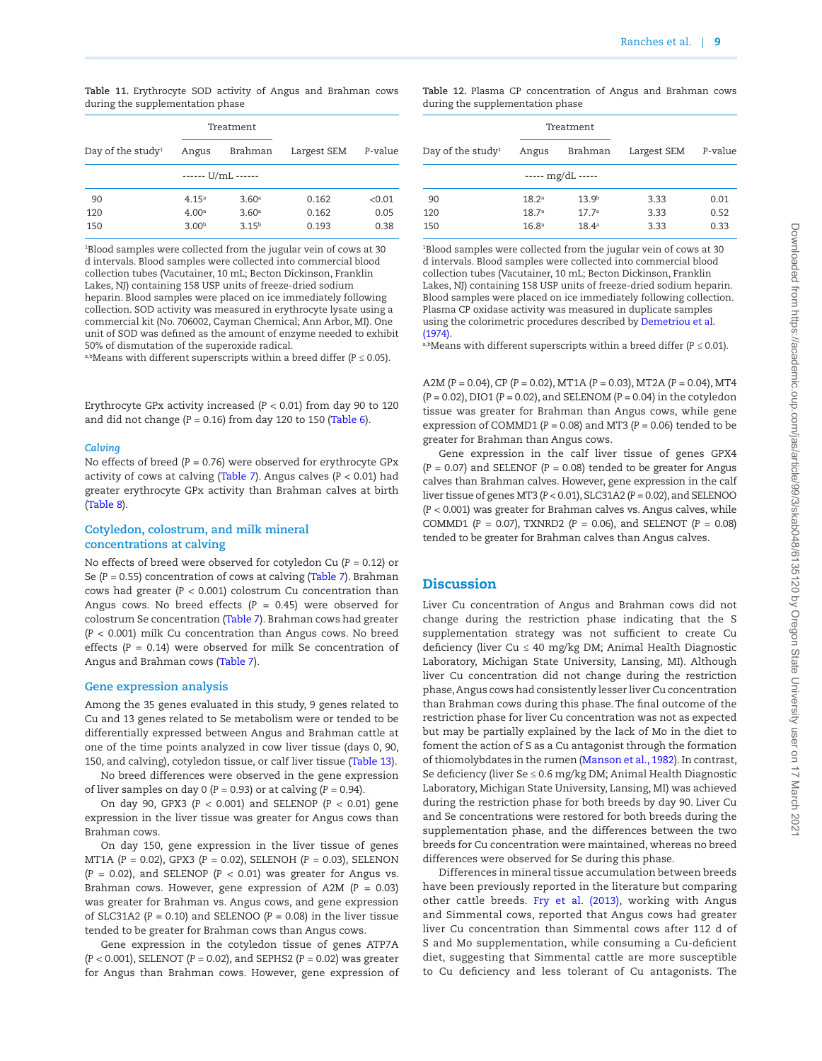<span id="page-8-0"></span>**Table 11.** Erythrocyte SOD activity of Angus and Brahman cows during the supplementation phase

|                               |                   | Treatment          |             |         |
|-------------------------------|-------------------|--------------------|-------------|---------|
| Day of the study <sup>1</sup> | Angus             | Brahman            | Largest SEM | P-value |
|                               |                   | ------ U/mL ------ |             |         |
| 90                            | 4.15 <sup>a</sup> | 3.60 <sup>a</sup>  | 0.162       | < 0.01  |
| 120                           | 4.00 <sup>a</sup> | 3.60 <sup>a</sup>  | 0.162       | 0.05    |
| 150                           | 3.00 <sup>b</sup> | $3.15^{b}$         | 0.193       | 0.38    |

1 Blood samples were collected from the jugular vein of cows at 30 d intervals. Blood samples were collected into commercial blood collection tubes (Vacutainer, 10 mL; Becton Dickinson, Franklin Lakes, NJ) containing 158 USP units of freeze-dried sodium heparin. Blood samples were placed on ice immediately following collection. SOD activity was measured in erythrocyte lysate using a commercial kit (No. 706002, Cayman Chemical; Ann Arbor, MI). One unit of SOD was defined as the amount of enzyme needed to exhibit 50% of dismutation of the superoxide radical.

a,bMeans with different superscripts within a breed differ (*P ≤* 0.05).

Erythrocyte GPx activity increased (*P <* 0.01) from day 90 to 120 and did not change (*P =* 0.16) from day 120 to 150 ([Table 6](#page-5-1)).

#### *Calving*

No effects of breed (*P =* 0.76) were observed for erythrocyte GPx activity of cows at calving [\(Table 7](#page-6-0)). Angus calves (*P <* 0.01) had greater erythrocyte GPx activity than Brahman calves at birth [\(Table 8](#page-7-0)).

## **Cotyledon, colostrum, and milk mineral concentrations at calving**

No effects of breed were observed for cotyledon Cu (*P =* 0.12) or Se (*P =* 0.55) concentration of cows at calving [\(Table 7](#page-6-0)). Brahman cows had greater (*P <* 0.001) colostrum Cu concentration than Angus cows. No breed effects (*P =* 0.45) were observed for colostrum Se concentration [\(Table 7\)](#page-6-0). Brahman cows had greater (*P <* 0.001) milk Cu concentration than Angus cows. No breed effects (*P =* 0.14) were observed for milk Se concentration of Angus and Brahman cows ([Table 7](#page-6-0)).

#### **Gene expression analysis**

Among the 35 genes evaluated in this study, 9 genes related to Cu and 13 genes related to Se metabolism were or tended to be differentially expressed between Angus and Brahman cattle at one of the time points analyzed in cow liver tissue (days 0, 90, 150, and calving), cotyledon tissue, or calf liver tissue ([Table 13\)](#page-9-0).

No breed differences were observed in the gene expression of liver samples on day 0 (*P =* 0.93) or at calving (*P =* 0.94).

On day 90, GPX3 (*P <* 0.001) and SELENOP (*P <* 0.01) gene expression in the liver tissue was greater for Angus cows than Brahman cows.

On day 150, gene expression in the liver tissue of genes MT1A (*P =* 0.02), GPX3 (*P =* 0.02), SELENOH (*P =* 0.03), SELENON (*P =* 0.02), and SELENOP (*P <* 0.01) was greater for Angus vs. Brahman cows. However, gene expression of A2M (*P =* 0.03) was greater for Brahman vs. Angus cows, and gene expression of SLC31A2 (*P =* 0.10) and SELENOO (*P =* 0.08) in the liver tissue tended to be greater for Brahman cows than Angus cows.

Gene expression in the cotyledon tissue of genes ATP7A (*P <* 0.001), SELENOT (*P =* 0.02), and SEPHS2 (*P =* 0.02) was greater for Angus than Brahman cows. However, gene expression of <span id="page-8-1"></span>**Table 12.** Plasma CP concentration of Angus and Brahman cows during the supplementation phase

| Treatment         |                   |                   |         |
|-------------------|-------------------|-------------------|---------|
| Angus             | Brahman           | Largest SEM       | P-value |
|                   |                   |                   |         |
| 18.2 <sup>a</sup> | 13.9 <sup>b</sup> | 3.33              | 0.01    |
| 18.7 <sup>a</sup> | 17.7 <sup>a</sup> | 3.33              | 0.52    |
| 16.8 <sup>a</sup> | 18.4 <sup>a</sup> | 3.33              | 0.33    |
|                   |                   | ----- mg/dL ----- |         |

1 Blood samples were collected from the jugular vein of cows at 30 d intervals. Blood samples were collected into commercial blood collection tubes (Vacutainer, 10 mL; Becton Dickinson, Franklin Lakes, NJ) containing 158 USP units of freeze-dried sodium heparin. Blood samples were placed on ice immediately following collection. Plasma CP oxidase activity was measured in duplicate samples using the colorimetric procedures described by [Demetriou et al.](#page-12-11)   $(1974)$ 

a,bMeans with different superscripts within a breed differ (*P ≤* 0.01).

A2M (*P =* 0.04), CP (*P =* 0.02), MT1A (*P =* 0.03), MT2A (*P =* 0.04), MT4 (*P =* 0.02), DIO1 (*P =* 0.02), and SELENOM (*P =* 0.04) in the cotyledon tissue was greater for Brahman than Angus cows, while gene expression of COMMD1 (*P =* 0.08) and MT3 (*P =* 0.06) tended to be greater for Brahman than Angus cows.

Gene expression in the calf liver tissue of genes GPX4 (*P =* 0.07) and SELENOF (*P =* 0.08) tended to be greater for Angus calves than Brahman calves. However, gene expression in the calf liver tissue of genes MT3 (*P <* 0.01), SLC31A2 (*P =* 0.02), and SELENOO (*P <* 0.001) was greater for Brahman calves vs. Angus calves, while COMMD1 (*P =* 0.07), TXNRD2 (*P =* 0.06), and SELENOT (*P =* 0.08) tended to be greater for Brahman calves than Angus calves.

## **Discussion**

Liver Cu concentration of Angus and Brahman cows did not change during the restriction phase indicating that the S supplementation strategy was not sufficient to create Cu deficiency (liver  $Cu \leq 40$  mg/kg DM; Animal Health Diagnostic Laboratory, Michigan State University, Lansing, MI). Although liver Cu concentration did not change during the restriction phase, Angus cows had consistently lesser liver Cu concentration than Brahman cows during this phase. The final outcome of the restriction phase for liver Cu concentration was not as expected but may be partially explained by the lack of Mo in the diet to foment the action of S as a Cu antagonist through the formation of thiomolybdates in the rumen [\(Manson et al., 1982](#page-12-16)). In contrast, Se deficiency (liver Se ≤ 0.6 mg/kg DM; Animal Health Diagnostic Laboratory, Michigan State University, Lansing, MI) was achieved during the restriction phase for both breeds by day 90. Liver Cu and Se concentrations were restored for both breeds during the supplementation phase, and the differences between the two breeds for Cu concentration were maintained, whereas no breed differences were observed for Se during this phase.

Differences in mineral tissue accumulation between breeds have been previously reported in the literature but comparing other cattle breeds. [Fry et al. \(2013\),](#page-12-6) working with Angus and Simmental cows, reported that Angus cows had greater liver Cu concentration than Simmental cows after 112 d of S and Mo supplementation, while consuming a Cu-deficient diet, suggesting that Simmental cattle are more susceptible to Cu deficiency and less tolerant of Cu antagonists. The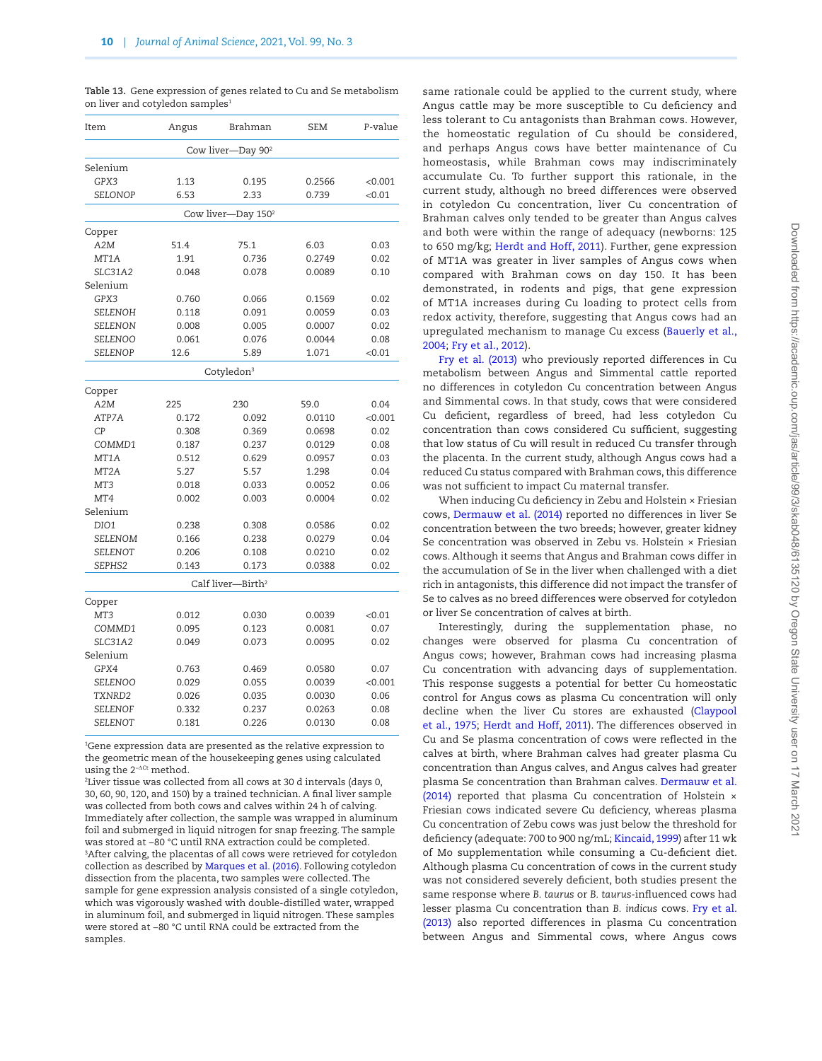<span id="page-9-0"></span>**Table 13.** Gene expression of genes related to Cu and Se metabolism on liver and cotyledon samples<sup>1</sup>

| Item              | Angus | Brahman                        | SEM    | P-value |
|-------------------|-------|--------------------------------|--------|---------|
|                   |       | Cow liver-Day 90 <sup>2</sup>  |        |         |
| Selenium          |       |                                |        |         |
| GPX3              | 1.13  | 0.195                          | 0.2566 | < 0.001 |
| SELONOP           | 6.53  | 2.33                           | 0.739  | < 0.01  |
|                   |       | Cow liver-Day 150 <sup>2</sup> |        |         |
| Copper            |       |                                |        |         |
| A2M               | 51.4  | 75.1                           | 6.03   | 0.03    |
| MT1A              | 1.91  | 0.736                          | 0.2749 | 0.02    |
| <b>SLC31A2</b>    | 0.048 | 0.078                          | 0.0089 | 0.10    |
| Selenium          |       |                                |        |         |
| GPX3              | 0.760 | 0.066                          | 0.1569 | 0.02    |
| SELENOH           | 0.118 | 0.091                          | 0.0059 | 0.03    |
| <b>SELENON</b>    | 0.008 | 0.005                          | 0.0007 | 0.02    |
| SELENOO           | 0.061 | 0.076                          | 0.0044 | 0.08    |
| <b>SELENOP</b>    | 12.6  | 5.89                           | 1.071  | < 0.01  |
|                   |       | Cotyledon <sup>3</sup>         |        |         |
| Copper            |       |                                |        |         |
| A <sub>2</sub> M  | 225   | 230                            | 59.0   | 0.04    |
| ATP7A             | 0.172 | 0.092                          | 0.0110 | < 0.001 |
| CP                | 0.308 | 0.369                          | 0.0698 | 0.02    |
| COMMD1            | 0.187 | 0.237                          | 0.0129 | 0.08    |
| MT1A              | 0.512 | 0.629                          | 0.0957 | 0.03    |
| MT <sub>2</sub> A | 5.27  | 5.57                           | 1.298  | 0.04    |
| MT3               | 0.018 | 0.033                          | 0.0052 | 0.06    |
| MT4               | 0.002 | 0.003                          | 0.0004 | 0.02    |
| Selenium          |       |                                |        |         |
| DIO1              | 0.238 | 0.308                          | 0.0586 | 0.02    |
| SELENOM           | 0.166 | 0.238                          | 0.0279 | 0.04    |
| <b>SELENOT</b>    | 0.206 | 0.108                          | 0.0210 | 0.02    |
| SEPHS2            | 0.143 | 0.173                          | 0.0388 | 0.02    |
|                   |       | Calf liver-Birth <sup>2</sup>  |        |         |
| Copper            |       |                                |        |         |
| MT3               | 0.012 | 0.030                          | 0.0039 | < 0.01  |
| COMMD1            | 0.095 | 0.123                          | 0.0081 | 0.07    |
| <b>SLC31A2</b>    | 0.049 | 0.073                          | 0.0095 | 0.02    |
| Selenium          |       |                                |        |         |
| GPX4              | 0.763 | 0.469                          | 0.0580 | 0.07    |
| <b>SELENOO</b>    | 0.029 | 0.055                          | 0.0039 | < 0.001 |
| TXNRD2            | 0.026 | 0.035                          | 0.0030 | 0.06    |
| <b>SELENOF</b>    | 0.332 | 0.237                          | 0.0263 | 0.08    |
| <b>SELENOT</b>    | 0.181 | 0.226                          | 0.0130 | 0.08    |

1 Gene expression data are presented as the relative expression to the geometric mean of the housekeeping genes using calculated using the 2<sup>−∆Ct</sup> method.

2 Liver tissue was collected from all cows at 30 d intervals (days 0, 30, 60, 90, 120, and 150) by a trained technician. A final liver sample was collected from both cows and calves within 24 h of calving. Immediately after collection, the sample was wrapped in aluminum foil and submerged in liquid nitrogen for snap freezing. The sample was stored at −80 °C until RNA extraction could be completed. 3 After calving, the placentas of all cows were retrieved for cotyledon collection as described by [Marques et al. \(2016\)](#page-12-9). Following cotyledon dissection from the placenta, two samples were collected. The sample for gene expression analysis consisted of a single cotyledon, which was vigorously washed with double-distilled water, wrapped in aluminum foil, and submerged in liquid nitrogen. These samples were stored at −80 °C until RNA could be extracted from the samples.

same rationale could be applied to the current study, where Angus cattle may be more susceptible to Cu deficiency and less tolerant to Cu antagonists than Brahman cows. However, the homeostatic regulation of Cu should be considered, and perhaps Angus cows have better maintenance of Cu homeostasis, while Brahman cows may indiscriminately accumulate Cu. To further support this rationale, in the current study, although no breed differences were observed in cotyledon Cu concentration, liver Cu concentration of Brahman calves only tended to be greater than Angus calves and both were within the range of adequacy (newborns: 125 to 650 mg/kg; [Herdt and Hoff, 2011\)](#page-12-17). Further, gene expression of MT1A was greater in liver samples of Angus cows when compared with Brahman cows on day 150. It has been demonstrated, in rodents and pigs, that gene expression of MT1A increases during Cu loading to protect cells from redox activity, therefore, suggesting that Angus cows had an upregulated mechanism to manage Cu excess ([Bauerly et al.,](#page-11-1) [2004](#page-11-1); [Fry et al., 2012\)](#page-12-18).

[Fry et al. \(2013\)](#page-12-6) who previously reported differences in Cu metabolism between Angus and Simmental cattle reported no differences in cotyledon Cu concentration between Angus and Simmental cows. In that study, cows that were considered Cu deficient, regardless of breed, had less cotyledon Cu concentration than cows considered Cu sufficient, suggesting that low status of Cu will result in reduced Cu transfer through the placenta. In the current study, although Angus cows had a reduced Cu status compared with Brahman cows, this difference was not sufficient to impact Cu maternal transfer.

When inducing Cu deficiency in Zebu and Holstein × Friesian cows, [Dermauw et al. \(2014\)](#page-12-8) reported no differences in liver Se concentration between the two breeds; however, greater kidney Se concentration was observed in Zebu vs. Holstein × Friesian cows. Although it seems that Angus and Brahman cows differ in the accumulation of Se in the liver when challenged with a diet rich in antagonists, this difference did not impact the transfer of Se to calves as no breed differences were observed for cotyledon or liver Se concentration of calves at birth.

Interestingly, during the supplementation phase, no changes were observed for plasma Cu concentration of Angus cows; however, Brahman cows had increasing plasma Cu concentration with advancing days of supplementation. This response suggests a potential for better Cu homeostatic control for Angus cows as plasma Cu concentration will only decline when the liver Cu stores are exhausted [\(Claypool](#page-12-19) [et al., 1975](#page-12-19); [Herdt and Hoff, 2011](#page-12-17)). The differences observed in Cu and Se plasma concentration of cows were reflected in the calves at birth, where Brahman calves had greater plasma Cu concentration than Angus calves, and Angus calves had greater plasma Se concentration than Brahman calves. [Dermauw et al.](#page-12-8) [\(2014\)](#page-12-8) reported that plasma Cu concentration of Holstein × Friesian cows indicated severe Cu deficiency, whereas plasma Cu concentration of Zebu cows was just below the threshold for deficiency (adequate: 700 to 900 ng/mL; [Kincaid, 1999\)](#page-12-20) after 11 wk of Mo supplementation while consuming a Cu-deficient diet. Although plasma Cu concentration of cows in the current study was not considered severely deficient, both studies present the same response where *B. taurus* or *B. taurus-*influenced cows had lesser plasma Cu concentration than *B. indicus* cows. [Fry et al.](#page-12-6) [\(2013\)](#page-12-6) also reported differences in plasma Cu concentration between Angus and Simmental cows, where Angus cows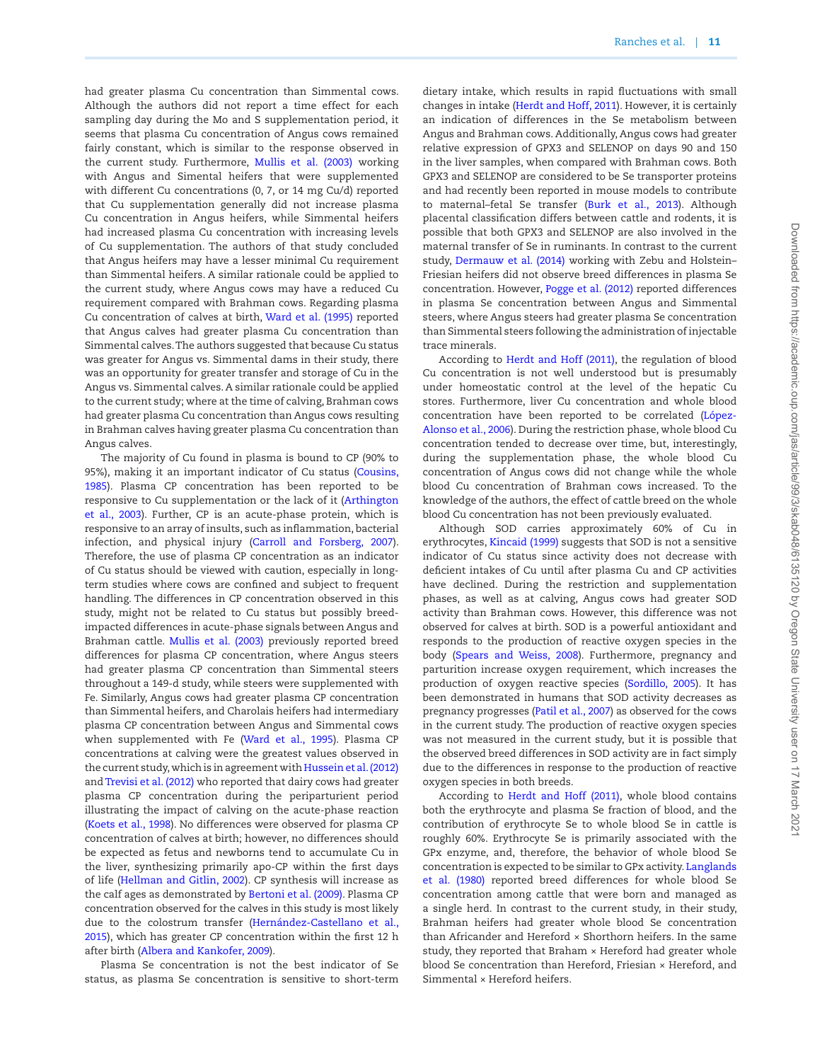had greater plasma Cu concentration than Simmental cows. Although the authors did not report a time effect for each sampling day during the Mo and S supplementation period, it seems that plasma Cu concentration of Angus cows remained fairly constant, which is similar to the response observed in the current study. Furthermore, [Mullis et al. \(2003\)](#page-12-4) working with Angus and Simental heifers that were supplemented with different Cu concentrations (0, 7, or 14 mg Cu/d) reported that Cu supplementation generally did not increase plasma Cu concentration in Angus heifers, while Simmental heifers had increased plasma Cu concentration with increasing levels of Cu supplementation. The authors of that study concluded that Angus heifers may have a lesser minimal Cu requirement than Simmental heifers. A similar rationale could be applied to the current study, where Angus cows may have a reduced Cu requirement compared with Brahman cows. Regarding plasma Cu concentration of calves at birth, [Ward et al. \(1995\)](#page-13-1) reported that Angus calves had greater plasma Cu concentration than Simmental calves. The authors suggested that because Cu status was greater for Angus vs. Simmental dams in their study, there was an opportunity for greater transfer and storage of Cu in the Angus vs. Simmental calves. A similar rationale could be applied to the current study; where at the time of calving, Brahman cows had greater plasma Cu concentration than Angus cows resulting in Brahman calves having greater plasma Cu concentration than Angus calves.

The majority of Cu found in plasma is bound to CP (90% to 95%), making it an important indicator of Cu status [\(Cousins,](#page-12-21) [1985\)](#page-12-21). Plasma CP concentration has been reported to be responsive to Cu supplementation or the lack of it ([Arthington](#page-11-2) [et al., 2003](#page-11-2)). Further, CP is an acute-phase protein, which is responsive to an array of insults, such as inflammation, bacterial infection, and physical injury [\(Carroll and Forsberg, 2007\)](#page-12-22). Therefore, the use of plasma CP concentration as an indicator of Cu status should be viewed with caution, especially in longterm studies where cows are confined and subject to frequent handling. The differences in CP concentration observed in this study, might not be related to Cu status but possibly breedimpacted differences in acute-phase signals between Angus and Brahman cattle. [Mullis et al. \(2003\)](#page-12-4) previously reported breed differences for plasma CP concentration, where Angus steers had greater plasma CP concentration than Simmental steers throughout a 149-d study, while steers were supplemented with Fe. Similarly, Angus cows had greater plasma CP concentration than Simmental heifers, and Charolais heifers had intermediary plasma CP concentration between Angus and Simmental cows when supplemented with Fe ([Ward et al., 1995](#page-13-1)). Plasma CP concentrations at calving were the greatest values observed in the current study, which is in agreement with [Hussein et al. \(2012\)](#page-12-23) and [Trevisi et al. \(2012\)](#page-13-3) who reported that dairy cows had greater plasma CP concentration during the periparturient period illustrating the impact of calving on the acute-phase reaction [\(Koets et al., 1998](#page-12-24)). No differences were observed for plasma CP concentration of calves at birth; however, no differences should be expected as fetus and newborns tend to accumulate Cu in the liver, synthesizing primarily apo-CP within the first days of life ([Hellman and Gitlin, 2002](#page-12-25)). CP synthesis will increase as the calf ages as demonstrated by [Bertoni et al. \(2009\)](#page-11-3). Plasma CP concentration observed for the calves in this study is most likely due to the colostrum transfer [\(Hernández-Castellano et al.,](#page-12-26) [2015\)](#page-12-26), which has greater CP concentration within the first 12 h after birth ([Albera and Kankofer, 2009\)](#page-11-4).

Plasma Se concentration is not the best indicator of Se status, as plasma Se concentration is sensitive to short-term

dietary intake, which results in rapid fluctuations with small changes in intake [\(Herdt and Hoff, 2011\)](#page-12-17). However, it is certainly an indication of differences in the Se metabolism between Angus and Brahman cows. Additionally, Angus cows had greater relative expression of GPX3 and SELENOP on days 90 and 150 in the liver samples, when compared with Brahman cows. Both GPX3 and SELENOP are considered to be Se transporter proteins and had recently been reported in mouse models to contribute to maternal–fetal Se transfer [\(Burk et al., 2013\)](#page-12-27). Although placental classification differs between cattle and rodents, it is possible that both GPX3 and SELENOP are also involved in the maternal transfer of Se in ruminants. In contrast to the current study, [Dermauw et al. \(2014\)](#page-12-8) working with Zebu and Holstein– Friesian heifers did not observe breed differences in plasma Se concentration. However, [Pogge et al. \(2012\)](#page-12-5) reported differences in plasma Se concentration between Angus and Simmental steers, where Angus steers had greater plasma Se concentration than Simmental steers following the administration of injectable trace minerals.

According to [Herdt and Hoff \(2011\)](#page-12-17), the regulation of blood Cu concentration is not well understood but is presumably under homeostatic control at the level of the hepatic Cu stores. Furthermore, liver Cu concentration and whole blood concentration have been reported to be correlated ([López-](#page-12-28)[Alonso et al., 2006](#page-12-28)). During the restriction phase, whole blood Cu concentration tended to decrease over time, but, interestingly, during the supplementation phase, the whole blood Cu concentration of Angus cows did not change while the whole blood Cu concentration of Brahman cows increased. To the knowledge of the authors, the effect of cattle breed on the whole blood Cu concentration has not been previously evaluated.

Although SOD carries approximately 60% of Cu in erythrocytes, [Kincaid \(1999\)](#page-12-20) suggests that SOD is not a sensitive indicator of Cu status since activity does not decrease with deficient intakes of Cu until after plasma Cu and CP activities have declined. During the restriction and supplementation phases, as well as at calving, Angus cows had greater SOD activity than Brahman cows. However, this difference was not observed for calves at birth. SOD is a powerful antioxidant and responds to the production of reactive oxygen species in the body ([Spears and Weiss, 2008](#page-13-4)). Furthermore, pregnancy and parturition increase oxygen requirement, which increases the production of oxygen reactive species ([Sordillo, 2005](#page-12-29)). It has been demonstrated in humans that SOD activity decreases as pregnancy progresses ([Patil et al., 2007\)](#page-12-30) as observed for the cows in the current study. The production of reactive oxygen species was not measured in the current study, but it is possible that the observed breed differences in SOD activity are in fact simply due to the differences in response to the production of reactive oxygen species in both breeds.

According to [Herdt and Hoff \(2011\),](#page-12-17) whole blood contains both the erythrocyte and plasma Se fraction of blood, and the contribution of erythrocyte Se to whole blood Se in cattle is roughly 60%. Erythrocyte Se is primarily associated with the GPx enzyme, and, therefore, the behavior of whole blood Se concentration is expected to be similar to GPx activity. [Langlands](#page-12-7) [et al. \(1980\)](#page-12-7) reported breed differences for whole blood Se concentration among cattle that were born and managed as a single herd. In contrast to the current study, in their study, Brahman heifers had greater whole blood Se concentration than Africander and Hereford × Shorthorn heifers. In the same study, they reported that Braham × Hereford had greater whole blood Se concentration than Hereford, Friesian × Hereford, and Simmental × Hereford heifers.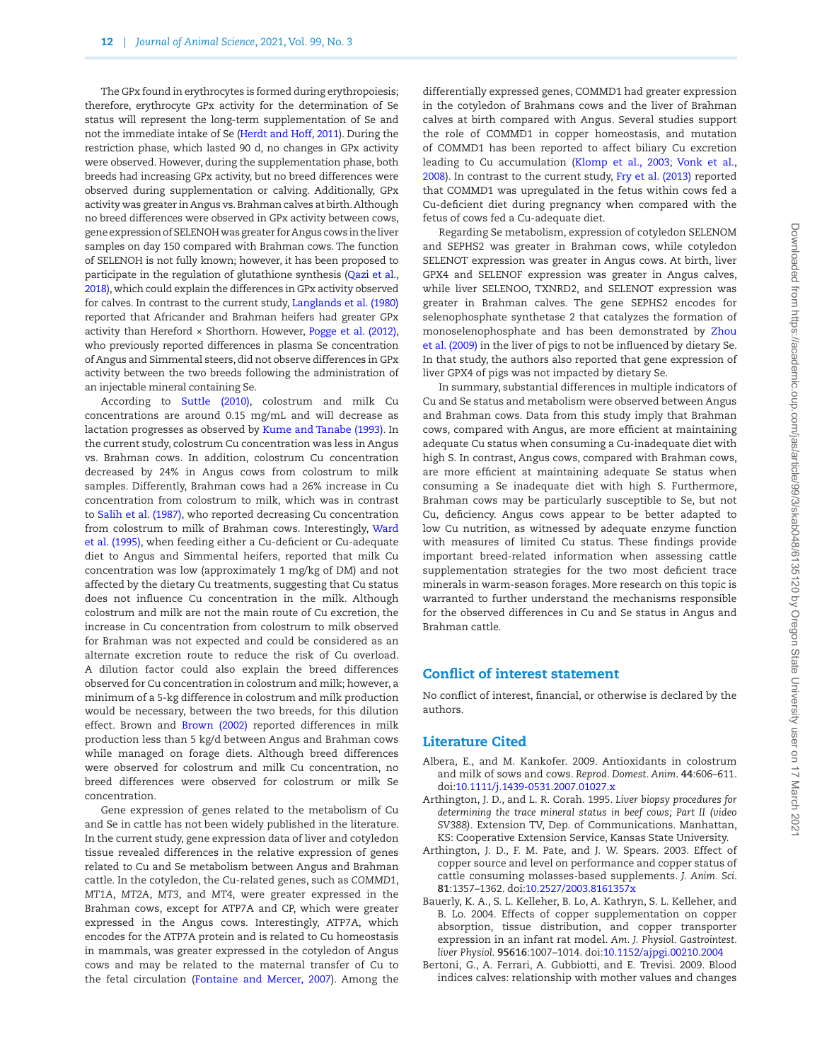The GPx found in erythrocytes is formed during erythropoiesis; therefore, erythrocyte GPx activity for the determination of Se status will represent the long-term supplementation of Se and not the immediate intake of Se [\(Herdt and Hoff, 2011](#page-12-17)). During the restriction phase, which lasted 90 d, no changes in GPx activity were observed. However, during the supplementation phase, both breeds had increasing GPx activity, but no breed differences were observed during supplementation or calving. Additionally, GPx activity was greater in Angus vs. Brahman calves at birth. Although no breed differences were observed in GPx activity between cows, gene expression of SELENOH was greater for Angus cows in the liver samples on day 150 compared with Brahman cows. The function of SELENOH is not fully known; however, it has been proposed to participate in the regulation of glutathione synthesis [\(Qazi et al.,](#page-12-15) [2018](#page-12-15)), which could explain the differences in GPx activity observed for calves. In contrast to the current study, [Langlands et al. \(1980\)](#page-12-7) reported that Africander and Brahman heifers had greater GPx activity than Hereford  $\times$  Shorthorn. However, [Pogge et al. \(2012\)](#page-12-5), who previously reported differences in plasma Se concentration of Angus and Simmental steers, did not observe differences in GPx activity between the two breeds following the administration of an injectable mineral containing Se.

According to [Suttle \(2010\)](#page-13-5), colostrum and milk Cu concentrations are around 0.15 mg/mL and will decrease as lactation progresses as observed by [Kume and Tanabe \(1993\).](#page-12-31) In the current study, colostrum Cu concentration was less in Angus vs. Brahman cows. In addition, colostrum Cu concentration decreased by 24% in Angus cows from colostrum to milk samples. Differently, Brahman cows had a 26% increase in Cu concentration from colostrum to milk, which was in contrast to [Salih et al. \(1987\)](#page-12-32), who reported decreasing Cu concentration from colostrum to milk of Brahman cows. Interestingly, [Ward](#page-13-1) [et al. \(1995\),](#page-13-1) when feeding either a Cu-deficient or Cu-adequate diet to Angus and Simmental heifers, reported that milk Cu concentration was low (approximately 1 mg/kg of DM) and not affected by the dietary Cu treatments, suggesting that Cu status does not influence Cu concentration in the milk. Although colostrum and milk are not the main route of Cu excretion, the increase in Cu concentration from colostrum to milk observed for Brahman was not expected and could be considered as an alternate excretion route to reduce the risk of Cu overload. A dilution factor could also explain the breed differences observed for Cu concentration in colostrum and milk; however, a minimum of a 5-kg difference in colostrum and milk production would be necessary, between the two breeds, for this dilution effect. Brown and [Brown \(2002\)](#page-12-33) reported differences in milk production less than 5 kg/d between Angus and Brahman cows while managed on forage diets. Although breed differences were observed for colostrum and milk Cu concentration, no breed differences were observed for colostrum or milk Se concentration.

Gene expression of genes related to the metabolism of Cu and Se in cattle has not been widely published in the literature. In the current study, gene expression data of liver and cotyledon tissue revealed differences in the relative expression of genes related to Cu and Se metabolism between Angus and Brahman cattle. In the cotyledon, the Cu-related genes, such as *COMMD1*, *MT1A*, *MT2A*, *MT3*, and *MT4*, were greater expressed in the Brahman cows, except for ATP7A and CP, which were greater expressed in the Angus cows. Interestingly, ATP7A, which encodes for the ATP7A protein and is related to Cu homeostasis in mammals, was greater expressed in the cotyledon of Angus cows and may be related to the maternal transfer of Cu to the fetal circulation [\(Fontaine and Mercer, 2007\)](#page-12-34). Among the

differentially expressed genes, COMMD1 had greater expression in the cotyledon of Brahmans cows and the liver of Brahman calves at birth compared with Angus. Several studies support the role of COMMD1 in copper homeostasis, and mutation of COMMD1 has been reported to affect biliary Cu excretion leading to Cu accumulation ([Klomp et al., 2003](#page-12-35); [Vonk et al.,](#page-13-6) [2008\)](#page-13-6). In contrast to the current study, [Fry et al. \(2013\)](#page-12-6) reported that COMMD1 was upregulated in the fetus within cows fed a Cu-deficient diet during pregnancy when compared with the fetus of cows fed a Cu-adequate diet.

Regarding Se metabolism, expression of cotyledon SELENOM and SEPHS2 was greater in Brahman cows, while cotyledon SELENOT expression was greater in Angus cows. At birth, liver GPX4 and SELENOF expression was greater in Angus calves, while liver SELENOO, TXNRD2, and SELENOT expression was greater in Brahman calves. The gene SEPHS2 encodes for selenophosphate synthetase 2 that catalyzes the formation of monoselenophosphate and has been demonstrated by [Zhou](#page-13-7) [et al. \(2009\)](#page-13-7) in the liver of pigs to not be influenced by dietary Se. In that study, the authors also reported that gene expression of liver GPX4 of pigs was not impacted by dietary Se.

In summary, substantial differences in multiple indicators of Cu and Se status and metabolism were observed between Angus and Brahman cows. Data from this study imply that Brahman cows, compared with Angus, are more efficient at maintaining adequate Cu status when consuming a Cu-inadequate diet with high S. In contrast, Angus cows, compared with Brahman cows, are more efficient at maintaining adequate Se status when consuming a Se inadequate diet with high S. Furthermore, Brahman cows may be particularly susceptible to Se, but not Cu, deficiency. Angus cows appear to be better adapted to low Cu nutrition, as witnessed by adequate enzyme function with measures of limited Cu status. These findings provide important breed-related information when assessing cattle supplementation strategies for the two most deficient trace minerals in warm-season forages. More research on this topic is warranted to further understand the mechanisms responsible for the observed differences in Cu and Se status in Angus and Brahman cattle.

## Conflict of interest statement

No conflict of interest, financial, or otherwise is declared by the authors.

#### Literature Cited

- <span id="page-11-4"></span>Albera, E., and M. Kankofer. 2009. Antioxidants in colostrum and milk of sows and cows. *Reprod. Domest. Anim*. **44**:606–611. doi:[10.1111/j.1439-0531.2007.01027.x](https://doi.org/10.1111/j.1439-0531.2007.01027.x)
- <span id="page-11-0"></span>Arthington, J. D., and L. R. Corah. 1995. *Liver biopsy procedures for determining the trace mineral status in beef cows; Part II (video SV388)*. Extension TV, Dep. of Communications. Manhattan, KS: Cooperative Extension Service, Kansas State University.
- <span id="page-11-2"></span>Arthington, J. D., F. M. Pate, and J. W. Spears. 2003. Effect of copper source and level on performance and copper status of cattle consuming molasses-based supplements. *J. Anim. Sci*. **81**:1357–1362. doi:[10.2527/2003.8161357x](https://doi.org/10.2527/2003.8161357x)
- <span id="page-11-1"></span>Bauerly, K. A., S. L. Kelleher, B. Lo, A. Kathryn, S. L. Kelleher, and B. Lo. 2004. Effects of copper supplementation on copper absorption, tissue distribution, and copper transporter expression in an infant rat model. *Am. J. Physiol. Gastrointest. liver Physiol*. **95616**:1007–1014. doi:[10.1152/ajpgi.00210.2004](https://doi.org/10.1152/ajpgi.00210.2004)
- <span id="page-11-3"></span>Bertoni, G., A. Ferrari, A. Gubbiotti, and E. Trevisi. 2009. Blood indices calves: relationship with mother values and changes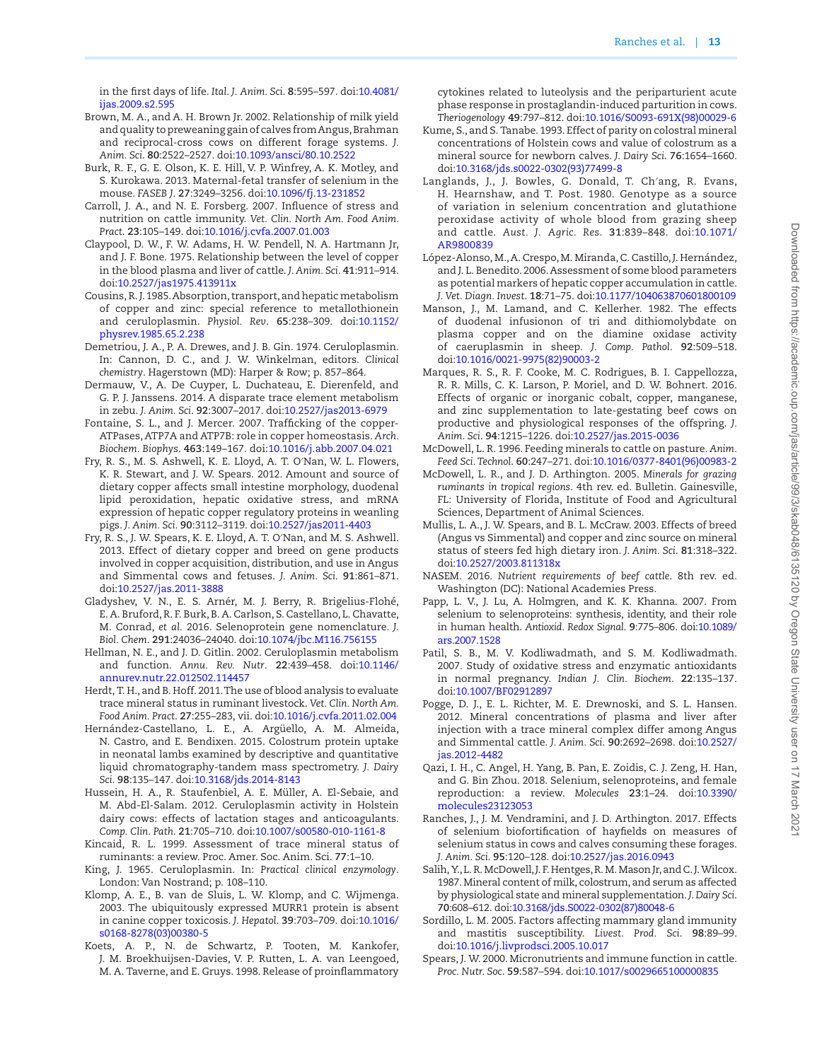in the first days of life. *Ital. J. Anim. Sci*. **8**:595–597. doi[:10.4081/](https://doi.org/10.4081/ijas.2009.s2.595) [ijas.2009.s2.595](https://doi.org/10.4081/ijas.2009.s2.595)

- <span id="page-12-33"></span>Brown, M. A., and A. H. Brown Jr. 2002. Relationship of milk yield and quality to preweaning gain of calves from Angus, Brahman and reciprocal-cross cows on different forage systems. *J. Anim. Sci*. **80**:2522–2527. doi[:10.1093/ansci/80.10.2522](https://doi.org/10.1093/ansci/80.10.2522)
- <span id="page-12-27"></span>Burk, R. F., G. E. Olson, K. E. Hill, V. P. Winfrey, A. K. Motley, and S. Kurokawa. 2013. Maternal-fetal transfer of selenium in the mouse. *FASEB J*. **27**:3249–3256. doi:[10.1096/fj.13-231852](https://doi.org/10.1096/fj.13-231852)
- <span id="page-12-22"></span>Carroll, J. A., and N. E. Forsberg. 2007. Influence of stress and nutrition on cattle immunity. *Vet. Clin. North Am. Food Anim. Pract*. **23**:105–149. doi[:10.1016/j.cvfa.2007.01.003](https://doi.org/10.1016/j.cvfa.2007.01.003)
- <span id="page-12-19"></span>Claypool, D. W., F. W. Adams, H. W. Pendell, N. A. Hartmann Jr, and J. F. Bone. 1975. Relationship between the level of copper in the blood plasma and liver of cattle. *J. Anim. Sci*. **41**:911–914. doi:[10.2527/jas1975.413911x](https://doi.org/10.2527/jas1975.413911x)
- <span id="page-12-21"></span>Cousins, R. J. 1985. Absorption, transport, and hepatic metabolism of copper and zinc: special reference to metallothionein and ceruloplasmin. *Physiol. Rev*. **65**:238–309. doi[:10.1152/](https://doi.org/10.1152/physrev.1985.65.2.238) [physrev.1985.65.2.238](https://doi.org/10.1152/physrev.1985.65.2.238)
- <span id="page-12-11"></span>Demetriou, J. A., P. A. Drewes, and J. B. Gin. 1974. Ceruloplasmin. In: Cannon, D. C., and J. W. Winkelman, editors. *Clinical chemistry*. Hagerstown (MD): Harper & Row; p. 857–864.
- <span id="page-12-8"></span>Dermauw, V., A. De Cuyper, L. Duchateau, E. Dierenfeld, and G. P. J. Janssens. 2014. A disparate trace element metabolism in zebu. *J. Anim. Sci*. **92**:3007–2017. doi:[10.2527/jas2013-6979](https://doi.org/10.2527/jas2013-6979)
- <span id="page-12-34"></span>Fontaine, S. L., and J. Mercer. 2007. Trafficking of the copper-ATPases, ATP7A and ATP7B: role in copper homeostasis. *Arch. Biochem. Biophys*. **463**:149–167. doi:[10.1016/j.abb.2007.04.021](https://doi.org/10.1016/j.abb.2007.04.021)
- <span id="page-12-18"></span>Fry, R. S., M. S. Ashwell, K. E. Lloyd, A. T. O′Nan, W. L. Flowers, K. R. Stewart, and J. W. Spears. 2012. Amount and source of dietary copper affects small intestine morphology, duodenal lipid peroxidation, hepatic oxidative stress, and mRNA expression of hepatic copper regulatory proteins in weanling pigs. *J. Anim. Sci*. **90**:3112–3119. doi[:10.2527/jas2011-4403](https://doi.org/10.2527/jas2011-4403)
- <span id="page-12-6"></span>Fry, R. S., J. W. Spears, K. E. Lloyd, A. T. O′Nan, and M. S. Ashwell. 2013. Effect of dietary copper and breed on gene products involved in copper acquisition, distribution, and use in Angus and Simmental cows and fetuses. *J. Anim. Sci*. **91**:861–871. doi:[10.2527/jas.2011-3888](https://doi.org/10.2527/jas.2011-3888)
- <span id="page-12-14"></span>Gladyshev, V. N., E. S. Arnér, M. J. Berry, R. Brigelius-Flohé, E. A. Bruford, R. F. Burk, B. A. Carlson, S. Castellano, L. Chavatte, M. Conrad, *et al.* 2016. Selenoprotein gene nomenclature. *J. Biol. Chem*. **291**:24036–24040. doi:[10.1074/jbc.M116.756155](https://doi.org/10.1074/jbc.M116.756155)
- <span id="page-12-25"></span>Hellman, N. E., and J. D. Gitlin. 2002. Ceruloplasmin metabolism and function. *Annu. Rev. Nutr*. **22**:439–458. doi[:10.1146/](https://doi.org/10.1146/annurev.nutr.22.012502.114457) [annurev.nutr.22.012502.114457](https://doi.org/10.1146/annurev.nutr.22.012502.114457)
- <span id="page-12-17"></span>Herdt, T. H., and B. Hoff. 2011. The use of blood analysis to evaluate trace mineral status in ruminant livestock. *Vet. Clin. North Am. Food Anim. Pract*. **27**:255–283, vii. doi[:10.1016/j.cvfa.2011.02.004](https://doi.org/10.1016/j.cvfa.2011.02.004)
- <span id="page-12-26"></span>Hernández-Castellano, L. E., A. Argüello, A. M. Almeida, N. Castro, and E. Bendixen. 2015. Colostrum protein uptake in neonatal lambs examined by descriptive and quantitative liquid chromatography-tandem mass spectrometry. *J. Dairy Sci*. **98**:135–147. doi:[10.3168/jds.2014-8143](https://doi.org/10.3168/jds.2014-8143)
- <span id="page-12-23"></span>Hussein, H. A., R. Staufenbiel, A. E. Müller, A. El-Sebaie, and M. Abd-El-Salam. 2012. Ceruloplasmin activity in Holstein dairy cows: effects of lactation stages and anticoagulants. *Comp. Clin. Path*. **21**:705–710. doi[:10.1007/s00580-010-1161-8](https://doi.org/10.1007/s00580-010-1161-8)
- <span id="page-12-20"></span>Kincaid, R. L. 1999. Assessment of trace mineral status of ruminants: a review. Proc. Amer. Soc. Anim. Sci. **77**:1–10.
- <span id="page-12-12"></span>King, J. 1965. Ceruloplasmin. In: *Practical clinical enzymology*. London: Van Nostrand; p. 108–110.
- <span id="page-12-35"></span>Klomp, A. E., B. van de Sluis, L. W. Klomp, and C. Wijmenga. 2003. The ubiquitously expressed MURR1 protein is absent in canine copper toxicosis. *J. Hepatol*. **39**:703–709. doi[:10.1016/](https://doi.org/10.1016/s0168-8278(03)00380-5) [s0168-8278\(03\)00380-5](https://doi.org/10.1016/s0168-8278(03)00380-5)
- <span id="page-12-24"></span>Koets, A. P., N. de Schwartz, P. Tooten, M. Kankofer, J. M. Broekhuijsen-Davies, V. P. Rutten, L. A. van Leengoed, M. A. Taverne, and E. Gruys. 1998. Release of proinflammatory

cytokines related to luteolysis and the periparturient acute phase response in prostaglandin-induced parturition in cows. *Theriogenology* **49**:797–812. doi:[10.1016/S0093-691X\(98\)00029-6](https://doi.org/10.1016/S0093-691X(98)00029-6)

- <span id="page-12-31"></span>Kume, S., and S. Tanabe. 1993. Effect of parity on colostral mineral concentrations of Holstein cows and value of colostrum as a mineral source for newborn calves. *J. Dairy Sci*. **76**:1654–1660. doi:[10.3168/jds.s0022-0302\(93\)77499-8](https://doi.org/10.3168/jds.s0022-0302(93)77499-8)
- <span id="page-12-7"></span>Langlands, J., J. Bowles, G. Donald, T. Ch′ang, R. Evans, H. Hearnshaw, and T. Post. 1980. Genotype as a source of variation in selenium concentration and glutathione peroxidase activity of whole blood from grazing sheep and cattle. *Aust. J. Agric. Res*. **31**:839–848. doi:[10.1071/](https://doi.org/10.1071/AR9800839) [AR9800839](https://doi.org/10.1071/AR9800839)
- <span id="page-12-28"></span>López-Alonso, M., A. Crespo, M. Miranda, C. Castillo, J. Hernández, and J. L. Benedito. 2006. Assessment of some blood parameters as potential markers of hepatic copper accumulation in cattle. *J. Vet. Diagn. Invest*. **18**:71–75. doi:[10.1177/104063870601800109](https://doi.org/10.1177/104063870601800109)
- <span id="page-12-16"></span>Manson, J., M. Lamand, and C. Kellerher. 1982. The effects of duodenal infusionon of tri and dithiomolybdate on plasma copper and on the diamine oxidase activity of caeruplasmin in sheep. *J. Comp. Pathol*. **92**:509–518. doi:[10.1016/0021-9975\(82\)90003-2](https://doi.org/10.1016/0021-9975(82)90003-2)
- <span id="page-12-9"></span>Marques, R. S., R. F. Cooke, M. C. Rodrigues, B. I. Cappellozza, R. R. Mills, C. K. Larson, P. Moriel, and D. W. Bohnert. 2016. Effects of organic or inorganic cobalt, copper, manganese, and zinc supplementation to late-gestating beef cows on productive and physiological responses of the offspring. *J. Anim. Sci*. **94**:1215–1226. doi[:10.2527/jas.2015-0036](https://doi.org/10.2527/jas.2015-0036)
- <span id="page-12-1"></span>McDowell, L. R. 1996. Feeding minerals to cattle on pasture. *Anim. Feed Sci. Technol*. **60**:247–271. doi:[10.1016/0377-8401\(96\)00983-2](https://doi.org/10.1016/0377-8401(96)00983-2)
- <span id="page-12-0"></span>McDowell, L. R., and J. D. Arthington. 2005. *Minerals for grazing ruminants in tropical regions*. 4th rev. ed. Bulletin. Gainesville, FL: University of Florida, Institute of Food and Agricultural Sciences, Department of Animal Sciences.
- <span id="page-12-4"></span>Mullis, L. A., J. W. Spears, and B. L. McCraw. 2003. Effects of breed (Angus vs Simmental) and copper and zinc source on mineral status of steers fed high dietary iron. *J. Anim. Sci*. **81**:318–322. doi:[10.2527/2003.811318x](https://doi.org/10.2527/2003.811318x)
- <span id="page-12-3"></span>NASEM. 2016. *Nutrient requirements of beef cattle*. 8th rev. ed. Washington (DC): National Academies Press.
- <span id="page-12-13"></span>Papp, L. V., J. Lu, A. Holmgren, and K. K. Khanna. 2007. From selenium to selenoproteins: synthesis, identity, and their role in human health. *Antioxid. Redox Signal*. **9**:775–806. doi[:10.1089/](https://doi.org/10.1089/ars.2007.1528) [ars.2007.1528](https://doi.org/10.1089/ars.2007.1528)
- <span id="page-12-30"></span>Patil, S. B., M. V. Kodliwadmath, and S. M. Kodliwadmath. 2007. Study of oxidative stress and enzymatic antioxidants in normal pregnancy. *Indian J. Clin. Biochem*. **22**:135–137. doi:[10.1007/BF02912897](https://doi.org/10.1007/BF02912897)
- <span id="page-12-5"></span>Pogge, D. J., E. L. Richter, M. E. Drewnoski, and S. L. Hansen. 2012. Mineral concentrations of plasma and liver after injection with a trace mineral complex differ among Angus and Simmental cattle. *J. Anim. Sci*. **90**:2692–2698. doi[:10.2527/](https://doi.org/10.2527/jas.2012-4482) [jas.2012-4482](https://doi.org/10.2527/jas.2012-4482)
- <span id="page-12-15"></span>Qazi, I. H., C. Angel, H. Yang, B. Pan, E. Zoidis, C. J. Zeng, H. Han, and G. Bin Zhou. 2018. Selenium, selenoproteins, and female reproduction: a review. *Molecules* **23**:1–24. doi[:10.3390/](https://doi.org/10.3390/molecules23123053) [molecules23123053](https://doi.org/10.3390/molecules23123053)
- <span id="page-12-10"></span>Ranches, J., J. M. Vendramini, and J. D. Arthington. 2017. Effects of selenium biofortification of hayfields on measures of selenium status in cows and calves consuming these forages. *J. Anim. Sci*. **95**:120–128. doi:[10.2527/jas.2016.0943](https://doi.org/10.2527/jas.2016.0943)
- <span id="page-12-32"></span>Salih, Y., L. R. McDowell, J. F. Hentges, R. M. Mason Jr, and C. J. Wilcox. 1987. Mineral content of milk, colostrum, and serum as affected by physiological state and mineral supplementation. *J. Dairy Sci*. **70**:608–612. doi:[10.3168/jds.S0022-0302\(87\)80048-6](https://doi.org/10.3168/jds.S0022-0302(87)80048-6)
- <span id="page-12-29"></span>Sordillo, L. M. 2005. Factors affecting mammary gland immunity and mastitis susceptibility. *Livest. Prod. Sci*. **98**:89–99. doi:[10.1016/j.livprodsci.2005.10.017](https://doi.org/10.1016/j.livprodsci.2005.10.017)
- <span id="page-12-2"></span>Spears, J. W. 2000. Micronutrients and immune function in cattle. *Proc. Nutr. Soc*. **59**:587–594. doi[:10.1017/s0029665100000835](https://doi.org/10.1017/s0029665100000835)